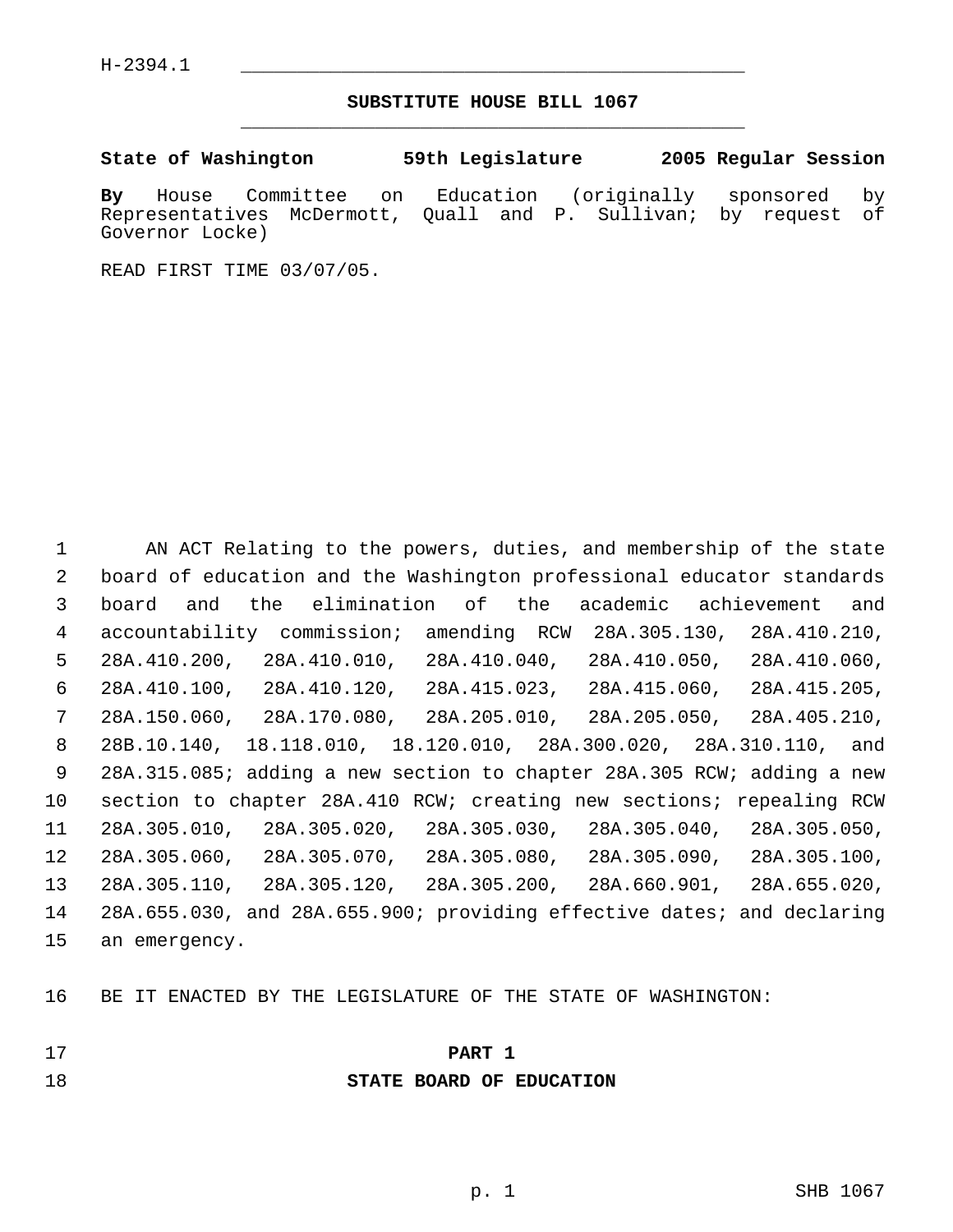### **SUBSTITUTE HOUSE BILL 1067** \_\_\_\_\_\_\_\_\_\_\_\_\_\_\_\_\_\_\_\_\_\_\_\_\_\_\_\_\_\_\_\_\_\_\_\_\_\_\_\_\_\_\_\_\_

**State of Washington 59th Legislature 2005 Regular Session**

**By** House Committee on Education (originally sponsored by Representatives McDermott, Quall and P. Sullivan; by request of Governor Locke)

READ FIRST TIME 03/07/05.

 AN ACT Relating to the powers, duties, and membership of the state board of education and the Washington professional educator standards board and the elimination of the academic achievement and accountability commission; amending RCW 28A.305.130, 28A.410.210, 28A.410.200, 28A.410.010, 28A.410.040, 28A.410.050, 28A.410.060, 28A.410.100, 28A.410.120, 28A.415.023, 28A.415.060, 28A.415.205, 28A.150.060, 28A.170.080, 28A.205.010, 28A.205.050, 28A.405.210, 28B.10.140, 18.118.010, 18.120.010, 28A.300.020, 28A.310.110, and 28A.315.085; adding a new section to chapter 28A.305 RCW; adding a new section to chapter 28A.410 RCW; creating new sections; repealing RCW 28A.305.010, 28A.305.020, 28A.305.030, 28A.305.040, 28A.305.050, 28A.305.060, 28A.305.070, 28A.305.080, 28A.305.090, 28A.305.100, 28A.305.110, 28A.305.120, 28A.305.200, 28A.660.901, 28A.655.020, 28A.655.030, and 28A.655.900; providing effective dates; and declaring an emergency.

BE IT ENACTED BY THE LEGISLATURE OF THE STATE OF WASHINGTON:

- **PART 1**
- 

**STATE BOARD OF EDUCATION**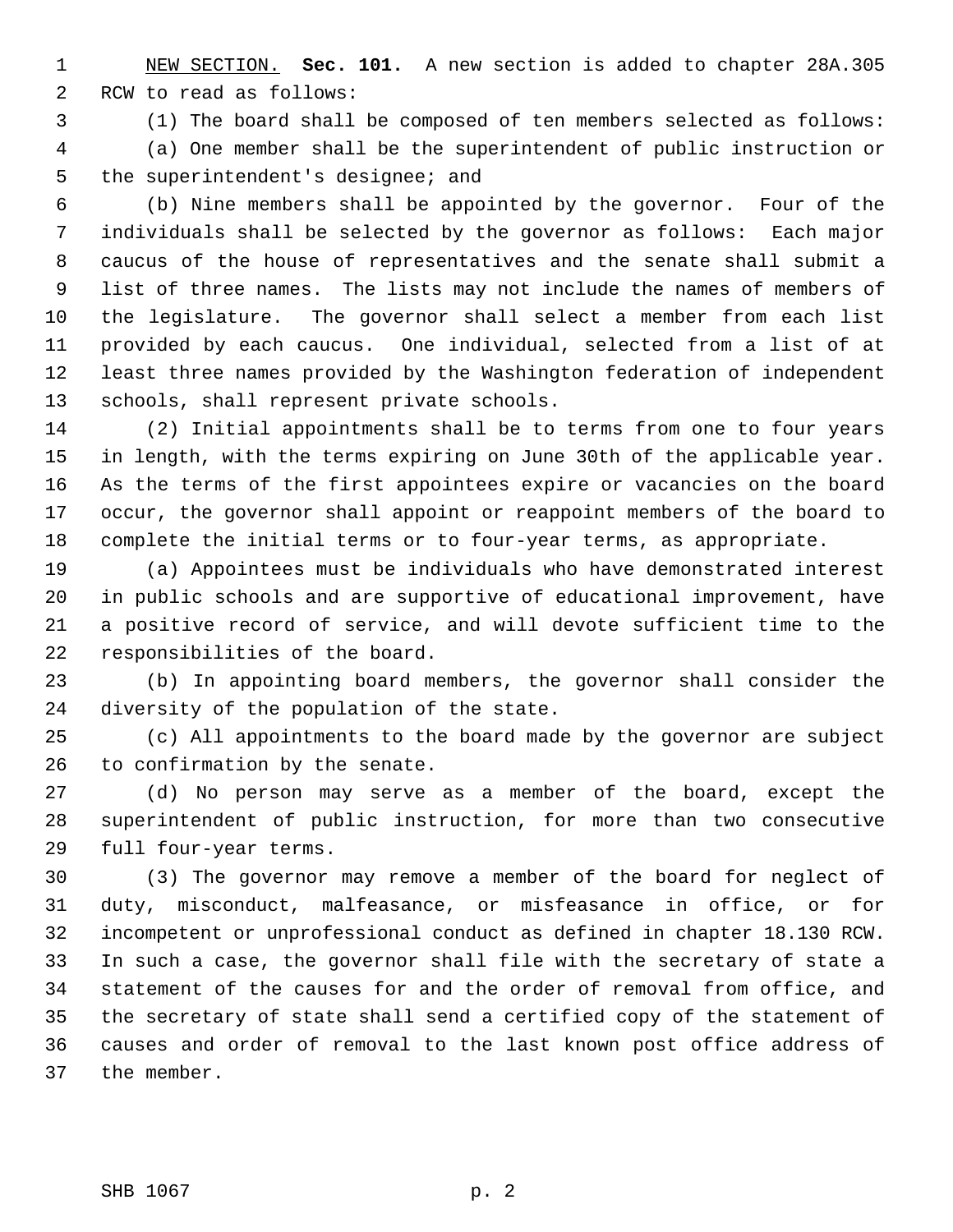NEW SECTION. **Sec. 101.** A new section is added to chapter 28A.305 RCW to read as follows:

 (1) The board shall be composed of ten members selected as follows: (a) One member shall be the superintendent of public instruction or the superintendent's designee; and

 (b) Nine members shall be appointed by the governor. Four of the individuals shall be selected by the governor as follows: Each major caucus of the house of representatives and the senate shall submit a list of three names. The lists may not include the names of members of the legislature. The governor shall select a member from each list provided by each caucus. One individual, selected from a list of at least three names provided by the Washington federation of independent schools, shall represent private schools.

 (2) Initial appointments shall be to terms from one to four years in length, with the terms expiring on June 30th of the applicable year. As the terms of the first appointees expire or vacancies on the board occur, the governor shall appoint or reappoint members of the board to complete the initial terms or to four-year terms, as appropriate.

 (a) Appointees must be individuals who have demonstrated interest in public schools and are supportive of educational improvement, have a positive record of service, and will devote sufficient time to the responsibilities of the board.

 (b) In appointing board members, the governor shall consider the diversity of the population of the state.

 (c) All appointments to the board made by the governor are subject to confirmation by the senate.

 (d) No person may serve as a member of the board, except the superintendent of public instruction, for more than two consecutive full four-year terms.

 (3) The governor may remove a member of the board for neglect of duty, misconduct, malfeasance, or misfeasance in office, or for incompetent or unprofessional conduct as defined in chapter 18.130 RCW. In such a case, the governor shall file with the secretary of state a statement of the causes for and the order of removal from office, and the secretary of state shall send a certified copy of the statement of causes and order of removal to the last known post office address of the member.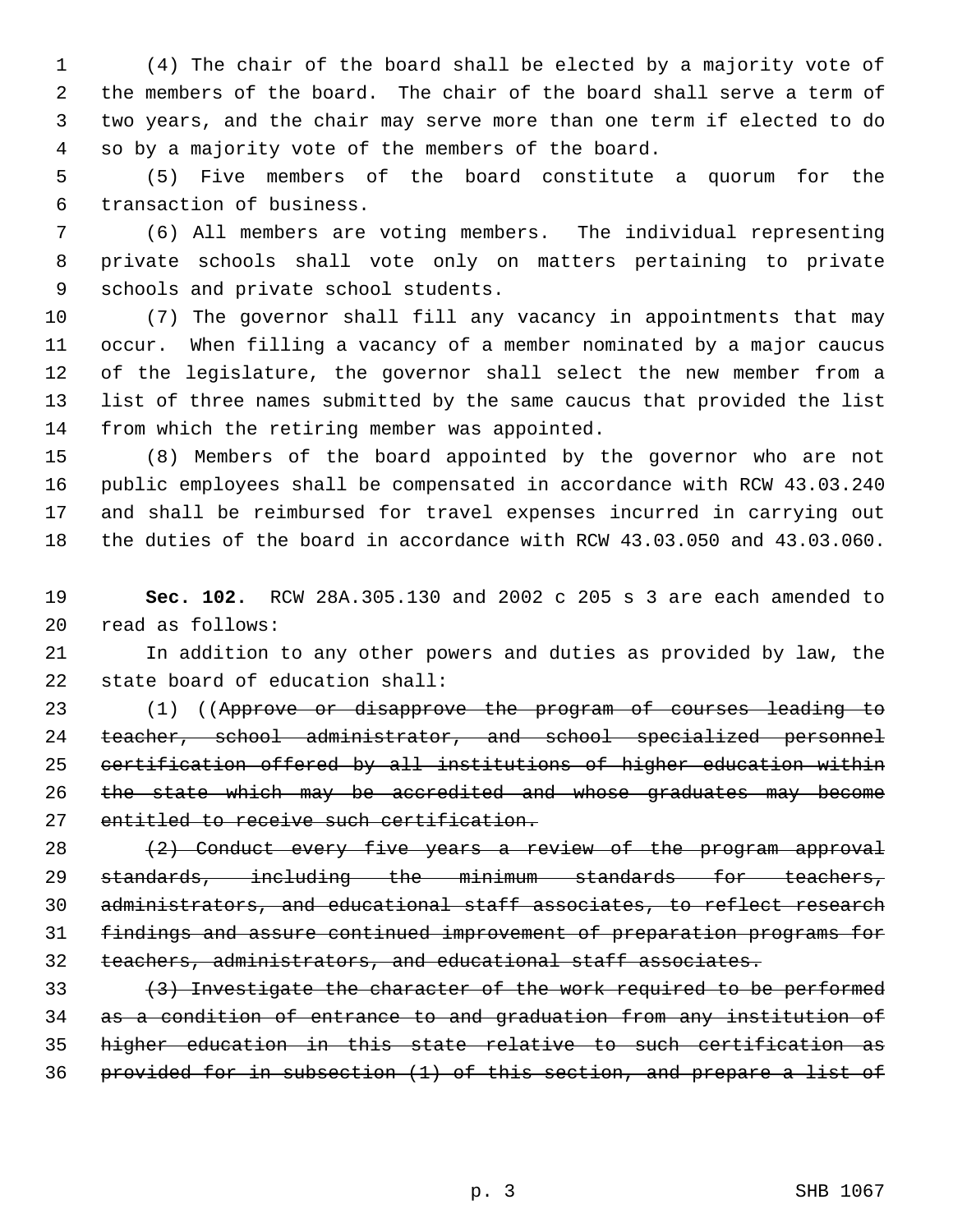(4) The chair of the board shall be elected by a majority vote of the members of the board. The chair of the board shall serve a term of two years, and the chair may serve more than one term if elected to do so by a majority vote of the members of the board.

 (5) Five members of the board constitute a quorum for the transaction of business.

 (6) All members are voting members. The individual representing private schools shall vote only on matters pertaining to private schools and private school students.

 (7) The governor shall fill any vacancy in appointments that may occur. When filling a vacancy of a member nominated by a major caucus of the legislature, the governor shall select the new member from a list of three names submitted by the same caucus that provided the list from which the retiring member was appointed.

 (8) Members of the board appointed by the governor who are not public employees shall be compensated in accordance with RCW 43.03.240 and shall be reimbursed for travel expenses incurred in carrying out the duties of the board in accordance with RCW 43.03.050 and 43.03.060.

 **Sec. 102.** RCW 28A.305.130 and 2002 c 205 s 3 are each amended to read as follows:

 In addition to any other powers and duties as provided by law, the state board of education shall:

 (1) ((Approve or disapprove the program of courses leading to teacher, school administrator, and school specialized personnel certification offered by all institutions of higher education within 26 the state which may be accredited and whose graduates may become entitled to receive such certification.

 $(2)$  Conduct every five years a review of the program approval standards, including the minimum standards for teachers, administrators, and educational staff associates, to reflect research findings and assure continued improvement of preparation programs for teachers, administrators, and educational staff associates.

33 (3) Investigate the character of the work required to be performed as a condition of entrance to and graduation from any institution of higher education in this state relative to such certification as provided for in subsection (1) of this section, and prepare a list of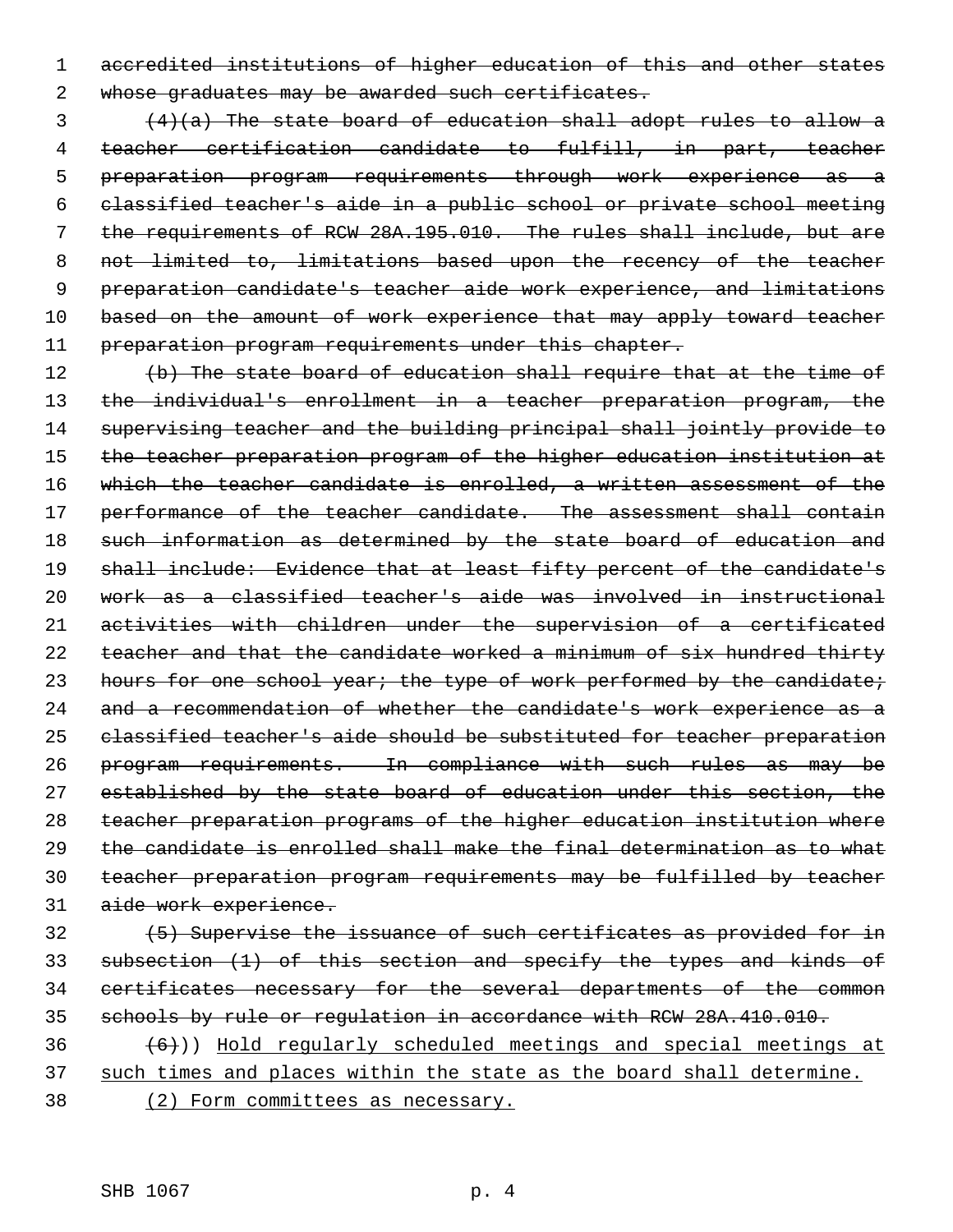accredited institutions of higher education of this and other states 2 whose graduates may be awarded such certificates.

 $\frac{4}{a}$  (4)(a) The state board of education shall adopt rules to allow a teacher certification candidate to fulfill, in part, teacher preparation program requirements through work experience as a classified teacher's aide in a public school or private school meeting the requirements of RCW 28A.195.010. The rules shall include, but are not limited to, limitations based upon the recency of the teacher preparation candidate's teacher aide work experience, and limitations 10 based on the amount of work experience that may apply toward teacher 11 preparation program requirements under this chapter.

12 (b) The state board of education shall require that at the time of 13 the individual's enrollment in a teacher preparation program, the supervising teacher and the building principal shall jointly provide to the teacher preparation program of the higher education institution at which the teacher candidate is enrolled, a written assessment of the 17 performance of the teacher candidate. The assessment shall contain 18 such information as determined by the state board of education and 19 shall include: Evidence that at least fifty percent of the candidate's work as a classified teacher's aide was involved in instructional activities with children under the supervision of a certificated 22 teacher and that the candidate worked a minimum of six hundred thirty 23 hours for one school year; the type of work performed by the candidate; and a recommendation of whether the candidate's work experience as a classified teacher's aide should be substituted for teacher preparation program requirements. In compliance with such rules as may be established by the state board of education under this section, the teacher preparation programs of the higher education institution where the candidate is enrolled shall make the final determination as to what teacher preparation program requirements may be fulfilled by teacher aide work experience.

- (5) Supervise the issuance of such certificates as provided for in subsection (1) of this section and specify the types and kinds of certificates necessary for the several departments of the common schools by rule or regulation in accordance with RCW 28A.410.010.
- $(6)$ )) Hold regularly scheduled meetings and special meetings at 37 such times and places within the state as the board shall determine.
- (2) Form committees as necessary.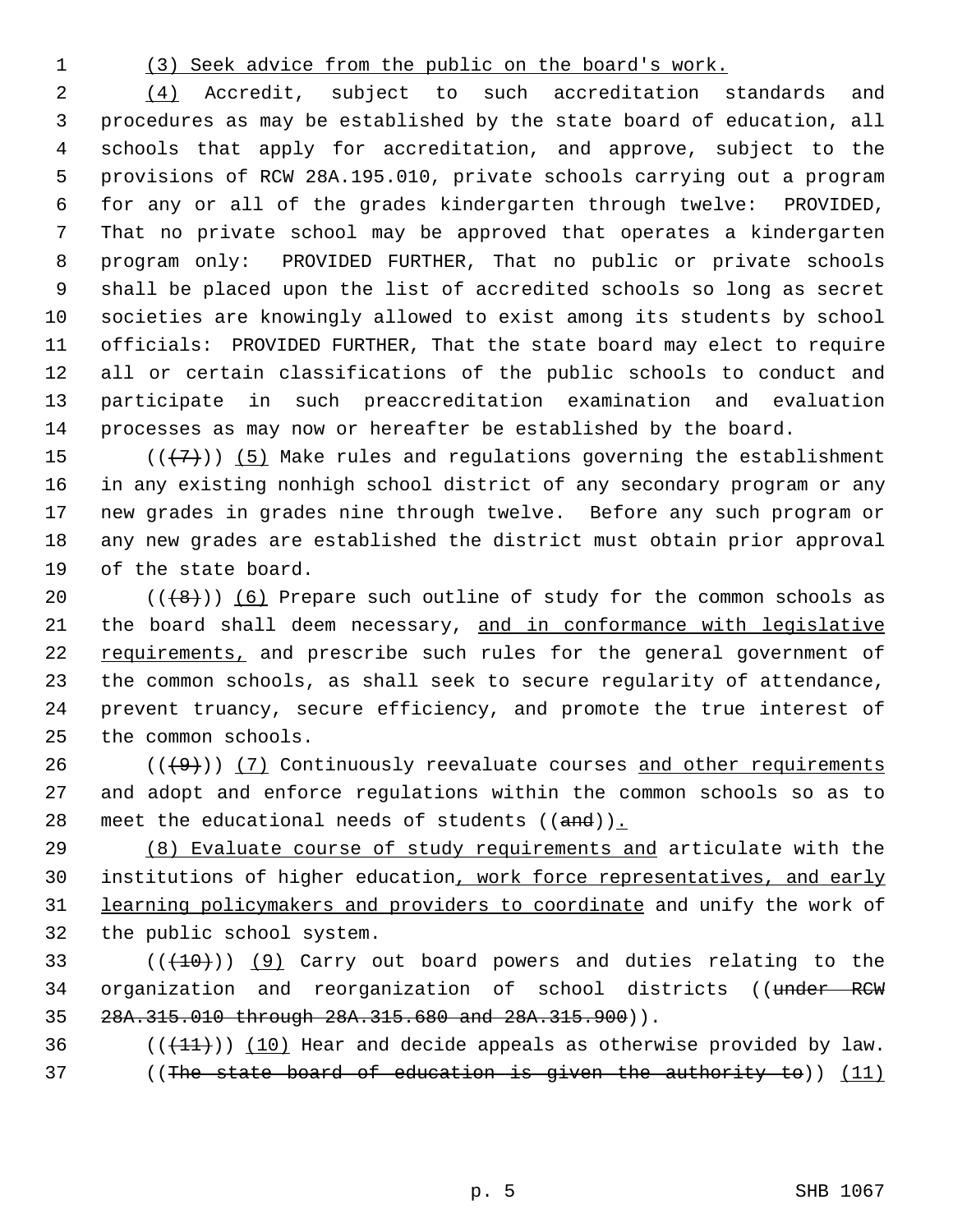#### (3) Seek advice from the public on the board's work.

 (4) Accredit, subject to such accreditation standards and procedures as may be established by the state board of education, all schools that apply for accreditation, and approve, subject to the provisions of RCW 28A.195.010, private schools carrying out a program for any or all of the grades kindergarten through twelve: PROVIDED, That no private school may be approved that operates a kindergarten program only: PROVIDED FURTHER, That no public or private schools shall be placed upon the list of accredited schools so long as secret societies are knowingly allowed to exist among its students by school officials: PROVIDED FURTHER, That the state board may elect to require all or certain classifications of the public schools to conduct and participate in such preaccreditation examination and evaluation processes as may now or hereafter be established by the board.

 $((+7))$  (5) Make rules and regulations governing the establishment in any existing nonhigh school district of any secondary program or any new grades in grades nine through twelve. Before any such program or any new grades are established the district must obtain prior approval of the state board.

 $((+8))$   $(6)$  Prepare such outline of study for the common schools as 21 the board shall deem necessary, and in conformance with legislative 22 requirements, and prescribe such rules for the general government of the common schools, as shall seek to secure regularity of attendance, prevent truancy, secure efficiency, and promote the true interest of the common schools.

 (( $\left(\frac{49}{1}\right)$ ) (7) Continuously reevaluate courses and other requirements and adopt and enforce regulations within the common schools so as to 28 meet the educational needs of students  $((and))_{\text{L}}$ 

 (8) Evaluate course of study requirements and articulate with the 30 institutions of higher education, work force representatives, and early learning policymakers and providers to coordinate and unify the work of the public school system.

33  $((+10))$  (9) Carry out board powers and duties relating to the 34 organization and reorganization of school districts ((under RCW 28A.315.010 through 28A.315.680 and 28A.315.900)).

36 ( $(\frac{11}{1})$ ) (10) Hear and decide appeals as otherwise provided by law. ((The state board of education is given the authority to)) (11)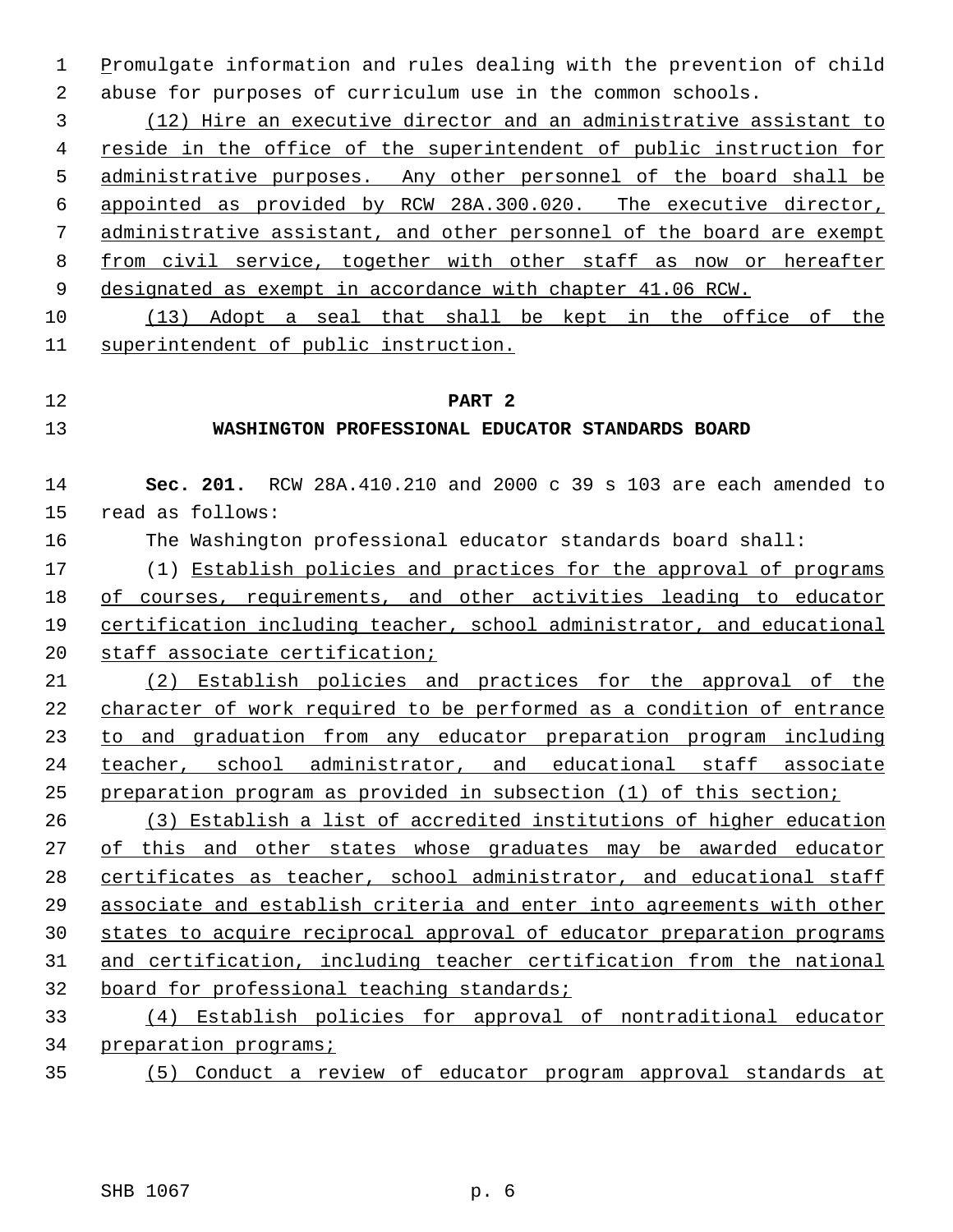1 Promulgate information and rules dealing with the prevention of child abuse for purposes of curriculum use in the common schools.

 (12) Hire an executive director and an administrative assistant to reside in the office of the superintendent of public instruction for administrative purposes. Any other personnel of the board shall be appointed as provided by RCW 28A.300.020. The executive director, 7 administrative assistant, and other personnel of the board are exempt from civil service, together with other staff as now or hereafter 9 designated as exempt in accordance with chapter 41.06 RCW.

 (13) Adopt a seal that shall be kept in the office of the superintendent of public instruction.

## **PART 2**

### **WASHINGTON PROFESSIONAL EDUCATOR STANDARDS BOARD**

 **Sec. 201.** RCW 28A.410.210 and 2000 c 39 s 103 are each amended to read as follows: The Washington professional educator standards board shall: (1) Establish policies and practices for the approval of programs 18 of courses, requirements, and other activities leading to educator certification including teacher, school administrator, and educational staff associate certification; (2) Establish policies and practices for the approval of the

 character of work required to be performed as a condition of entrance to and graduation from any educator preparation program including teacher, school administrator, and educational staff associate preparation program as provided in subsection (1) of this section;

 (3) Establish a list of accredited institutions of higher education of this and other states whose graduates may be awarded educator 28 certificates as teacher, school administrator, and educational staff associate and establish criteria and enter into agreements with other states to acquire reciprocal approval of educator preparation programs and certification, including teacher certification from the national board for professional teaching standards;

 (4) Establish policies for approval of nontraditional educator preparation programs;

(5) Conduct a review of educator program approval standards at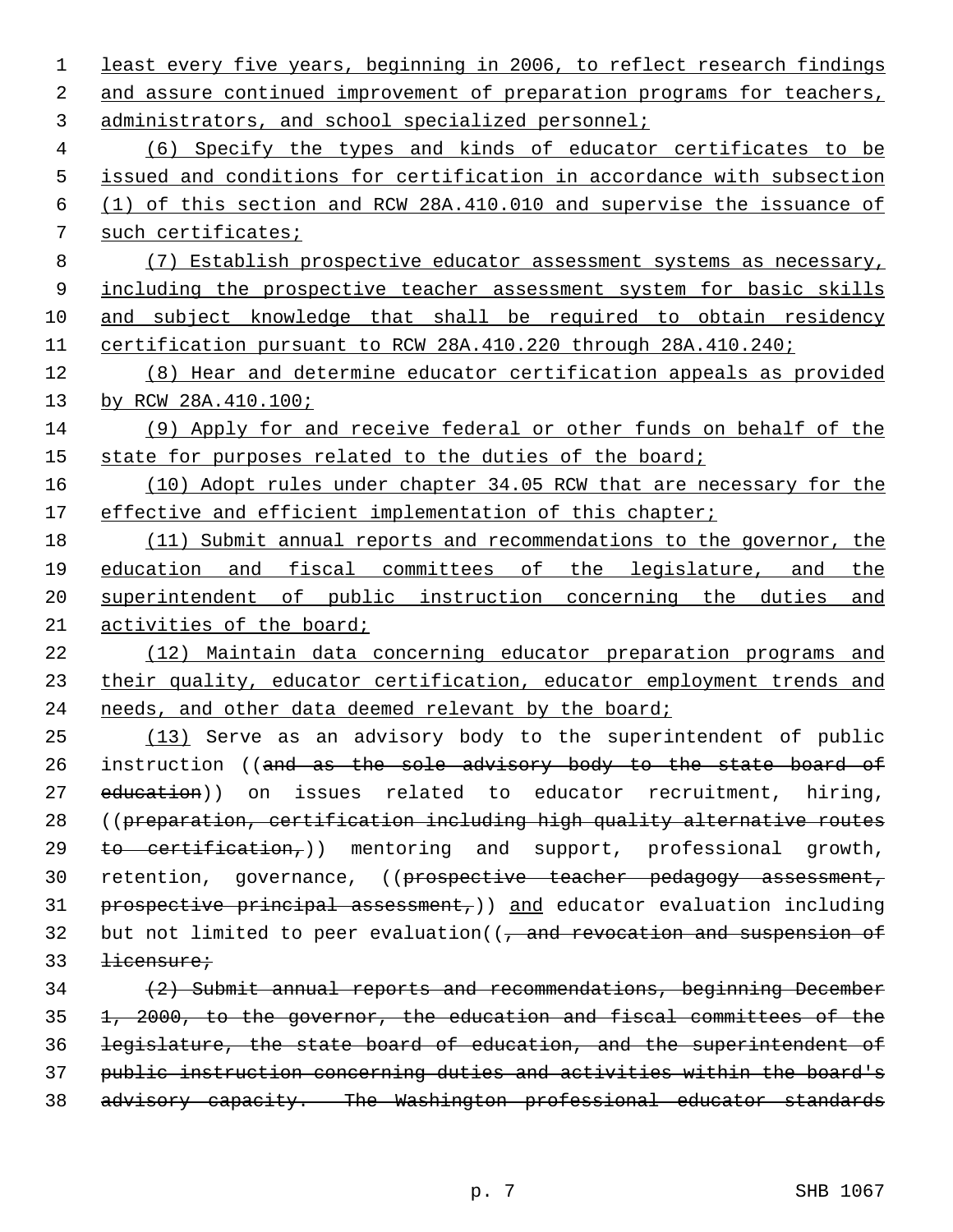least every five years, beginning in 2006, to reflect research findings 2 and assure continued improvement of preparation programs for teachers, administrators, and school specialized personnel; (6) Specify the types and kinds of educator certificates to be issued and conditions for certification in accordance with subsection (1) of this section and RCW 28A.410.010 and supervise the issuance of such certificates; (7) Establish prospective educator assessment systems as necessary, 9 including the prospective teacher assessment system for basic skills and subject knowledge that shall be required to obtain residency certification pursuant to RCW 28A.410.220 through 28A.410.240; (8) Hear and determine educator certification appeals as provided by RCW 28A.410.100; (9) Apply for and receive federal or other funds on behalf of the 15 state for purposes related to the duties of the board; (10) Adopt rules under chapter 34.05 RCW that are necessary for the 17 effective and efficient implementation of this chapter; (11) Submit annual reports and recommendations to the governor, the education and fiscal committees of the legislature, and the superintendent of public instruction concerning the duties and activities of the board; (12) Maintain data concerning educator preparation programs and 23 their quality, educator certification, educator employment trends and 24 needs, and other data deemed relevant by the board; (13) Serve as an advisory body to the superintendent of public 26 instruction ((and as the sole advisory body to the state board of 27 education)) on issues related to educator recruitment, hiring, ((preparation, certification including high quality alternative routes 29 to certification,)) mentoring and support, professional growth, 30 retention, governance, ((prospective teacher pedagogy assessment, prospective principal assessment,)) and educator evaluation including 32 but not limited to peer evaluation((, and revocation and suspension of licensure; (2) Submit annual reports and recommendations, beginning December 1, 2000, to the governor, the education and fiscal committees of the legislature, the state board of education, and the superintendent of public instruction concerning duties and activities within the board's advisory capacity. The Washington professional educator standards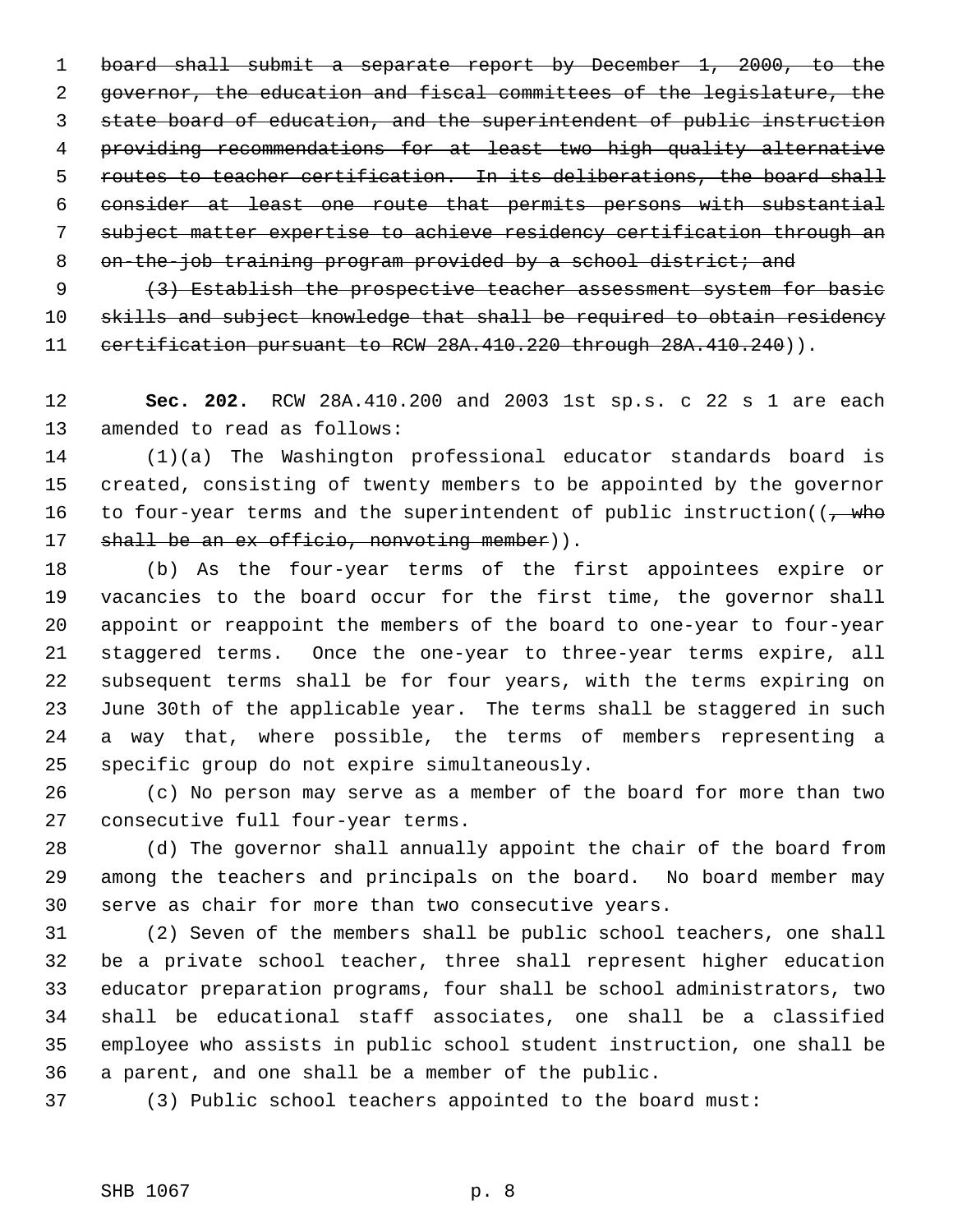board shall submit a separate report by December 1, 2000, to the governor, the education and fiscal committees of the legislature, the state board of education, and the superintendent of public instruction providing recommendations for at least two high quality alternative routes to teacher certification. In its deliberations, the board shall consider at least one route that permits persons with substantial subject matter expertise to achieve residency certification through an 8 on-the-job training program provided by a school district; and

9 (3) Establish the prospective teacher assessment system for basic

 skills and subject knowledge that shall be required to obtain residency 11 certification pursuant to RCW 28A.410.220 through 28A.410.240)).

 **Sec. 202.** RCW 28A.410.200 and 2003 1st sp.s. c 22 s 1 are each amended to read as follows:

 (1)(a) The Washington professional educator standards board is created, consisting of twenty members to be appointed by the governor 16 to four-year terms and the superintendent of public instruction( $\left(-\right)$ who 17 shall be an ex officio, nonvoting member)).

 (b) As the four-year terms of the first appointees expire or vacancies to the board occur for the first time, the governor shall appoint or reappoint the members of the board to one-year to four-year staggered terms. Once the one-year to three-year terms expire, all subsequent terms shall be for four years, with the terms expiring on June 30th of the applicable year. The terms shall be staggered in such a way that, where possible, the terms of members representing a specific group do not expire simultaneously.

 (c) No person may serve as a member of the board for more than two consecutive full four-year terms.

 (d) The governor shall annually appoint the chair of the board from among the teachers and principals on the board. No board member may serve as chair for more than two consecutive years.

 (2) Seven of the members shall be public school teachers, one shall be a private school teacher, three shall represent higher education educator preparation programs, four shall be school administrators, two shall be educational staff associates, one shall be a classified employee who assists in public school student instruction, one shall be a parent, and one shall be a member of the public.

(3) Public school teachers appointed to the board must: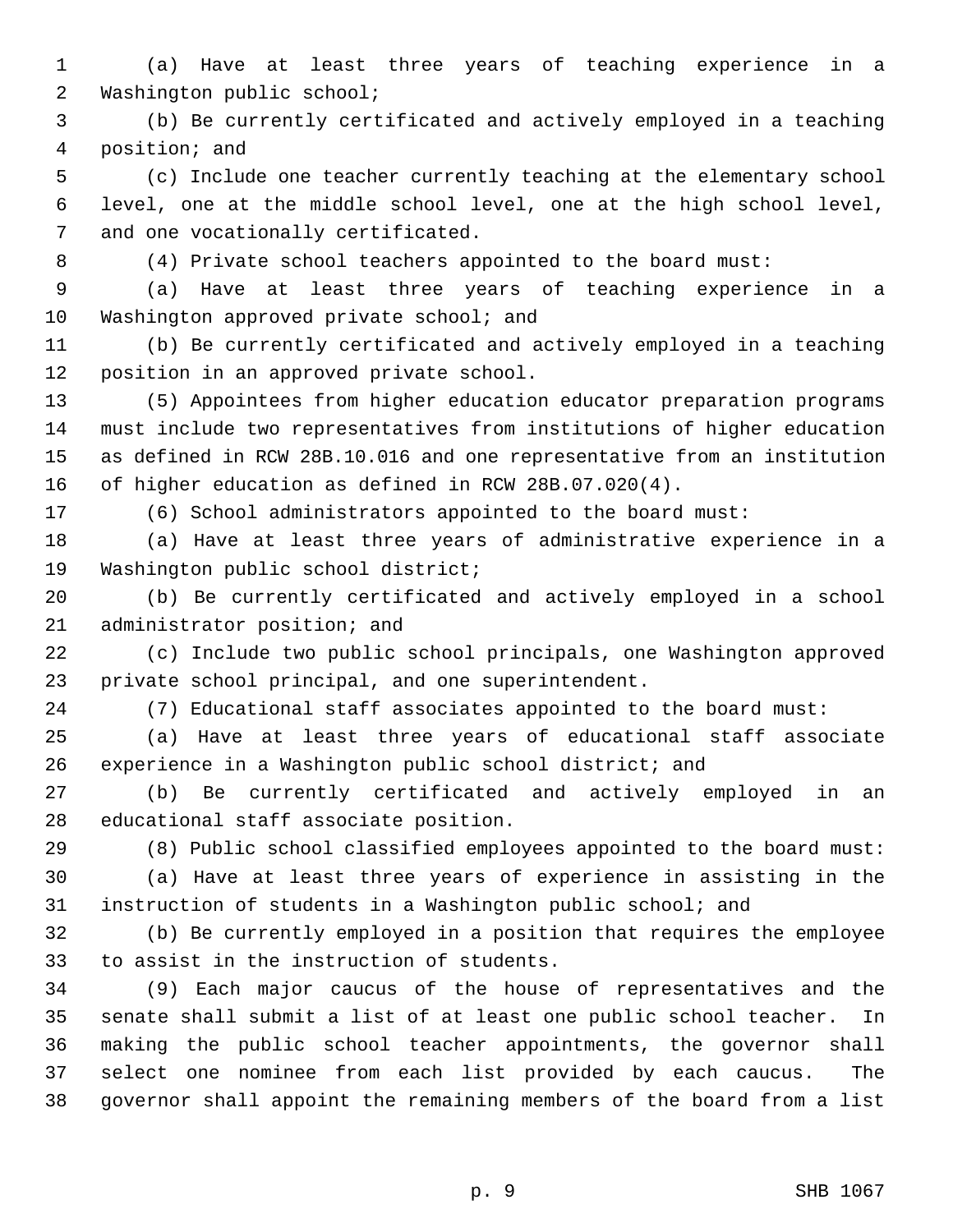(a) Have at least three years of teaching experience in a Washington public school;

 (b) Be currently certificated and actively employed in a teaching position; and

 (c) Include one teacher currently teaching at the elementary school level, one at the middle school level, one at the high school level, and one vocationally certificated.

(4) Private school teachers appointed to the board must:

 (a) Have at least three years of teaching experience in a 10 Washington approved private school; and

 (b) Be currently certificated and actively employed in a teaching position in an approved private school.

 (5) Appointees from higher education educator preparation programs must include two representatives from institutions of higher education as defined in RCW 28B.10.016 and one representative from an institution of higher education as defined in RCW 28B.07.020(4).

(6) School administrators appointed to the board must:

 (a) Have at least three years of administrative experience in a Washington public school district;

 (b) Be currently certificated and actively employed in a school administrator position; and

 (c) Include two public school principals, one Washington approved private school principal, and one superintendent.

(7) Educational staff associates appointed to the board must:

 (a) Have at least three years of educational staff associate experience in a Washington public school district; and

 (b) Be currently certificated and actively employed in an educational staff associate position.

(8) Public school classified employees appointed to the board must:

 (a) Have at least three years of experience in assisting in the instruction of students in a Washington public school; and

 (b) Be currently employed in a position that requires the employee to assist in the instruction of students.

 (9) Each major caucus of the house of representatives and the senate shall submit a list of at least one public school teacher. In making the public school teacher appointments, the governor shall select one nominee from each list provided by each caucus. The governor shall appoint the remaining members of the board from a list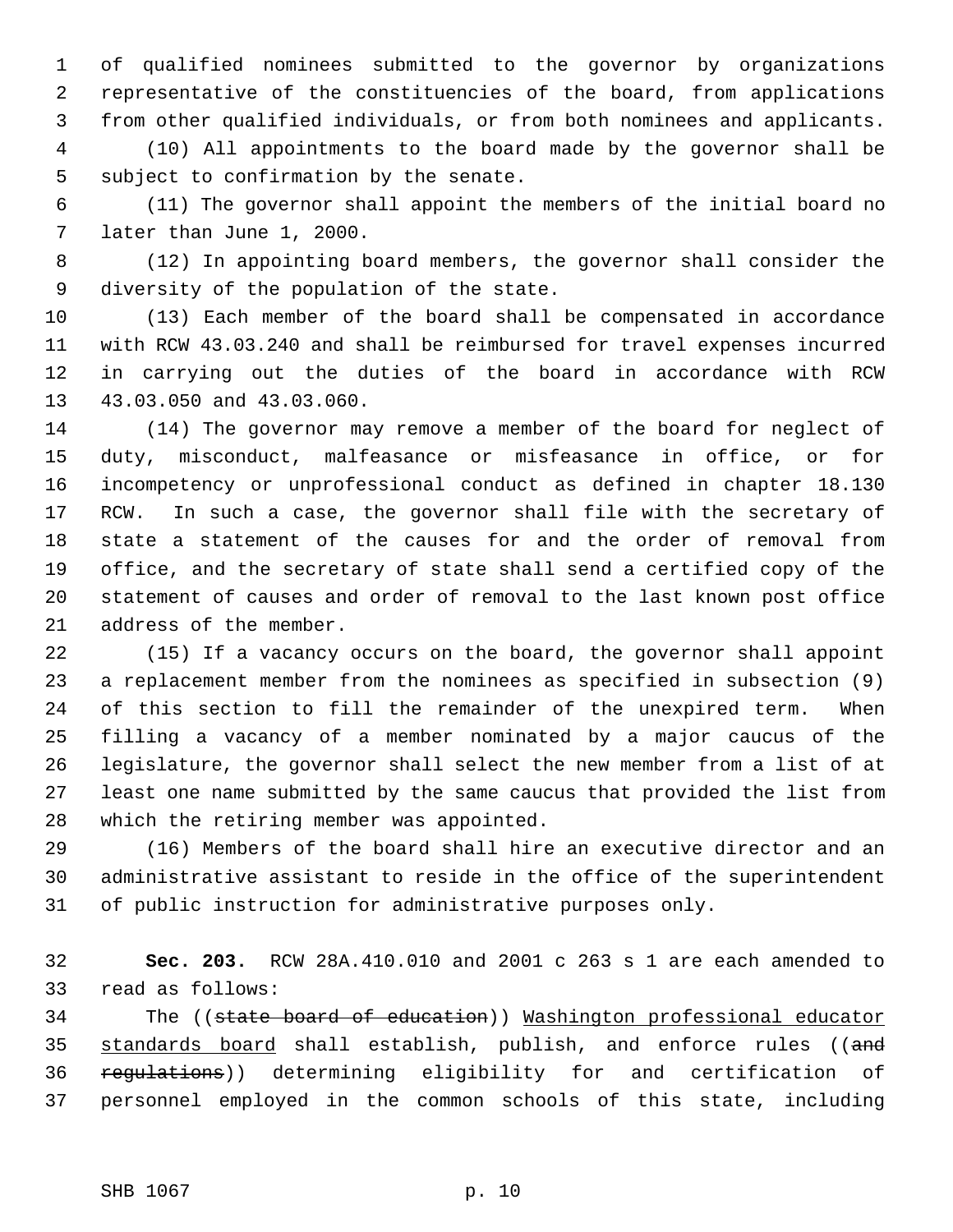of qualified nominees submitted to the governor by organizations representative of the constituencies of the board, from applications from other qualified individuals, or from both nominees and applicants.

 (10) All appointments to the board made by the governor shall be subject to confirmation by the senate.

 (11) The governor shall appoint the members of the initial board no later than June 1, 2000.

 (12) In appointing board members, the governor shall consider the diversity of the population of the state.

 (13) Each member of the board shall be compensated in accordance with RCW 43.03.240 and shall be reimbursed for travel expenses incurred in carrying out the duties of the board in accordance with RCW 43.03.050 and 43.03.060.

 (14) The governor may remove a member of the board for neglect of duty, misconduct, malfeasance or misfeasance in office, or for incompetency or unprofessional conduct as defined in chapter 18.130 RCW. In such a case, the governor shall file with the secretary of state a statement of the causes for and the order of removal from office, and the secretary of state shall send a certified copy of the statement of causes and order of removal to the last known post office address of the member.

 (15) If a vacancy occurs on the board, the governor shall appoint a replacement member from the nominees as specified in subsection (9) of this section to fill the remainder of the unexpired term. When filling a vacancy of a member nominated by a major caucus of the legislature, the governor shall select the new member from a list of at least one name submitted by the same caucus that provided the list from which the retiring member was appointed.

 (16) Members of the board shall hire an executive director and an administrative assistant to reside in the office of the superintendent of public instruction for administrative purposes only.

 **Sec. 203.** RCW 28A.410.010 and 2001 c 263 s 1 are each amended to read as follows:

 The ((state board of education)) Washington professional educator 35 standards board shall establish, publish, and enforce rules ((and regulations)) determining eligibility for and certification of personnel employed in the common schools of this state, including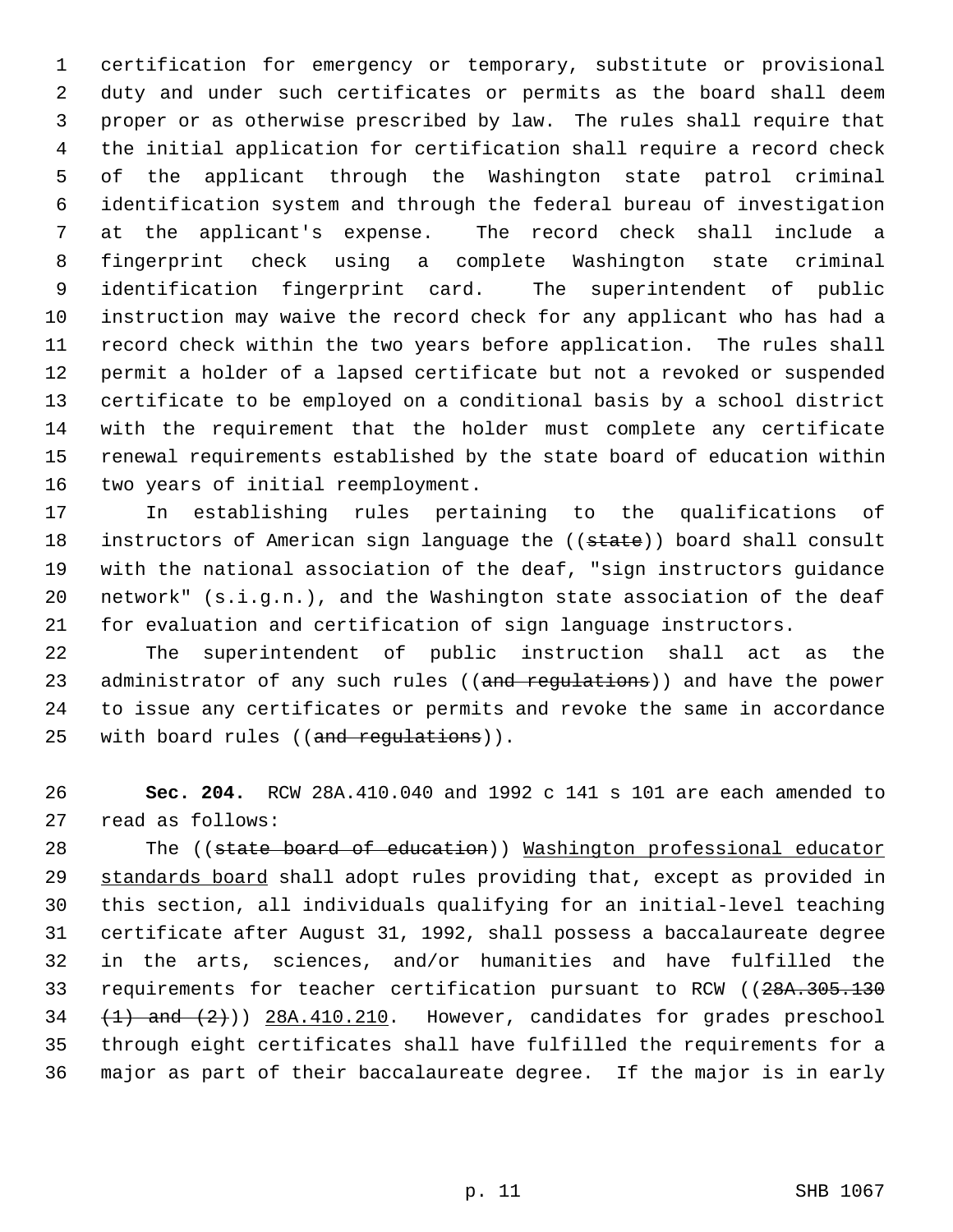certification for emergency or temporary, substitute or provisional duty and under such certificates or permits as the board shall deem proper or as otherwise prescribed by law. The rules shall require that the initial application for certification shall require a record check of the applicant through the Washington state patrol criminal identification system and through the federal bureau of investigation at the applicant's expense. The record check shall include a fingerprint check using a complete Washington state criminal identification fingerprint card. The superintendent of public instruction may waive the record check for any applicant who has had a record check within the two years before application. The rules shall permit a holder of a lapsed certificate but not a revoked or suspended certificate to be employed on a conditional basis by a school district with the requirement that the holder must complete any certificate renewal requirements established by the state board of education within two years of initial reemployment.

 In establishing rules pertaining to the qualifications of 18 instructors of American sign language the ((state)) board shall consult with the national association of the deaf, "sign instructors guidance network" (s.i.g.n.), and the Washington state association of the deaf for evaluation and certification of sign language instructors.

 The superintendent of public instruction shall act as the 23 administrator of any such rules ((and regulations)) and have the power to issue any certificates or permits and revoke the same in accordance 25 with board rules ((and requiations)).

 **Sec. 204.** RCW 28A.410.040 and 1992 c 141 s 101 are each amended to read as follows:

28 The ((state board of education)) Washington professional educator 29 standards board shall adopt rules providing that, except as provided in this section, all individuals qualifying for an initial-level teaching certificate after August 31, 1992, shall possess a baccalaureate degree in the arts, sciences, and/or humanities and have fulfilled the 33 requirements for teacher certification pursuant to RCW ((28A.305.130)  $(1)$  and  $(2)$ ))  $28A.410.210$ . However, candidates for grades preschool through eight certificates shall have fulfilled the requirements for a major as part of their baccalaureate degree. If the major is in early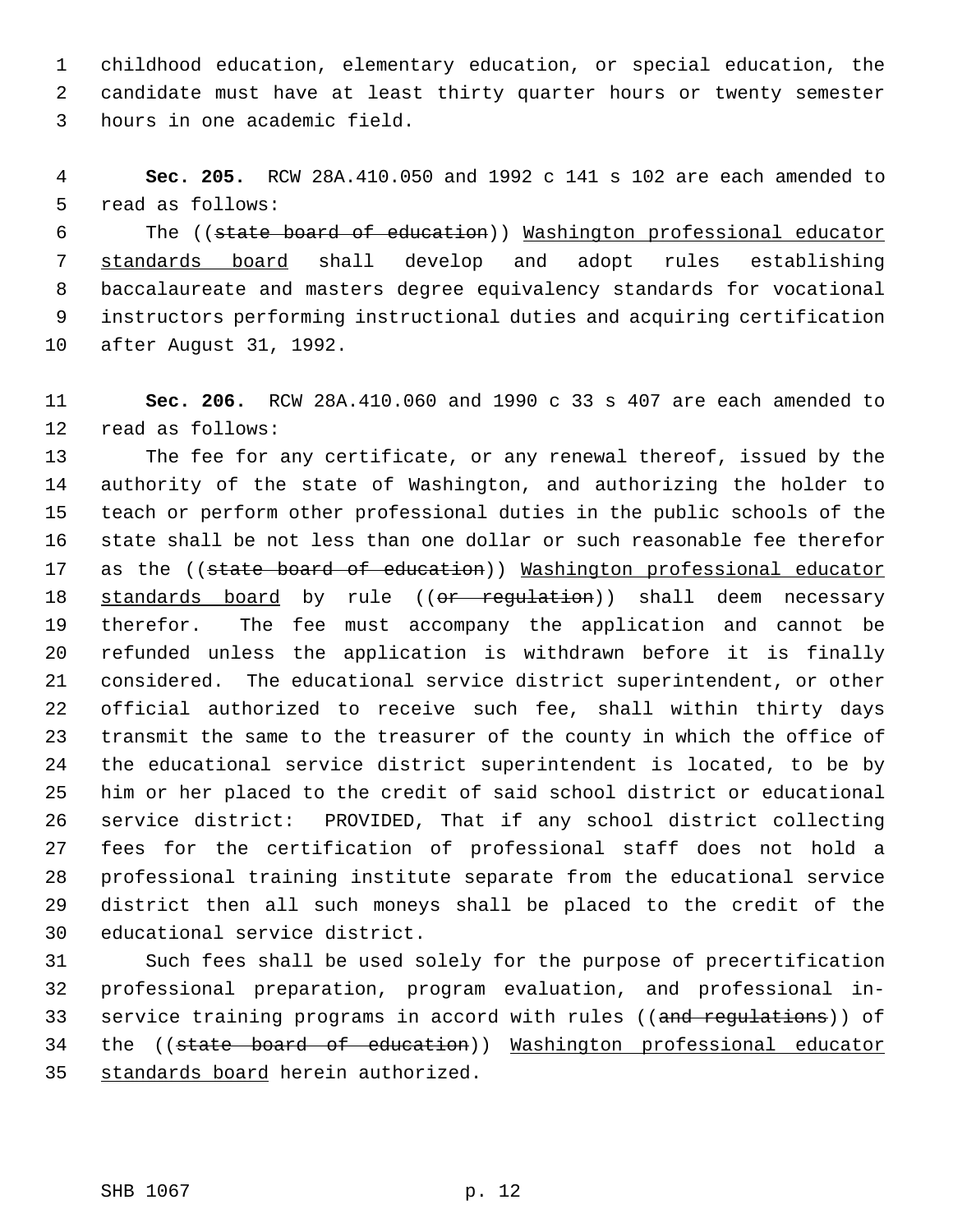childhood education, elementary education, or special education, the candidate must have at least thirty quarter hours or twenty semester hours in one academic field.

 **Sec. 205.** RCW 28A.410.050 and 1992 c 141 s 102 are each amended to read as follows:

 The ((state board of education)) Washington professional educator standards board shall develop and adopt rules establishing baccalaureate and masters degree equivalency standards for vocational instructors performing instructional duties and acquiring certification after August 31, 1992.

 **Sec. 206.** RCW 28A.410.060 and 1990 c 33 s 407 are each amended to read as follows:

 The fee for any certificate, or any renewal thereof, issued by the authority of the state of Washington, and authorizing the holder to teach or perform other professional duties in the public schools of the state shall be not less than one dollar or such reasonable fee therefor 17 as the ((state board of education)) Mashington professional educator 18 <u>standards board</u> by rule ((<del>or regulation</del>)) shall deem necessary therefor. The fee must accompany the application and cannot be refunded unless the application is withdrawn before it is finally considered. The educational service district superintendent, or other official authorized to receive such fee, shall within thirty days transmit the same to the treasurer of the county in which the office of the educational service district superintendent is located, to be by him or her placed to the credit of said school district or educational service district: PROVIDED, That if any school district collecting fees for the certification of professional staff does not hold a professional training institute separate from the educational service district then all such moneys shall be placed to the credit of the educational service district.

 Such fees shall be used solely for the purpose of precertification professional preparation, program evaluation, and professional in-33 service training programs in accord with rules ((and regulations)) of the ((state board of education)) Washington professional educator standards board herein authorized.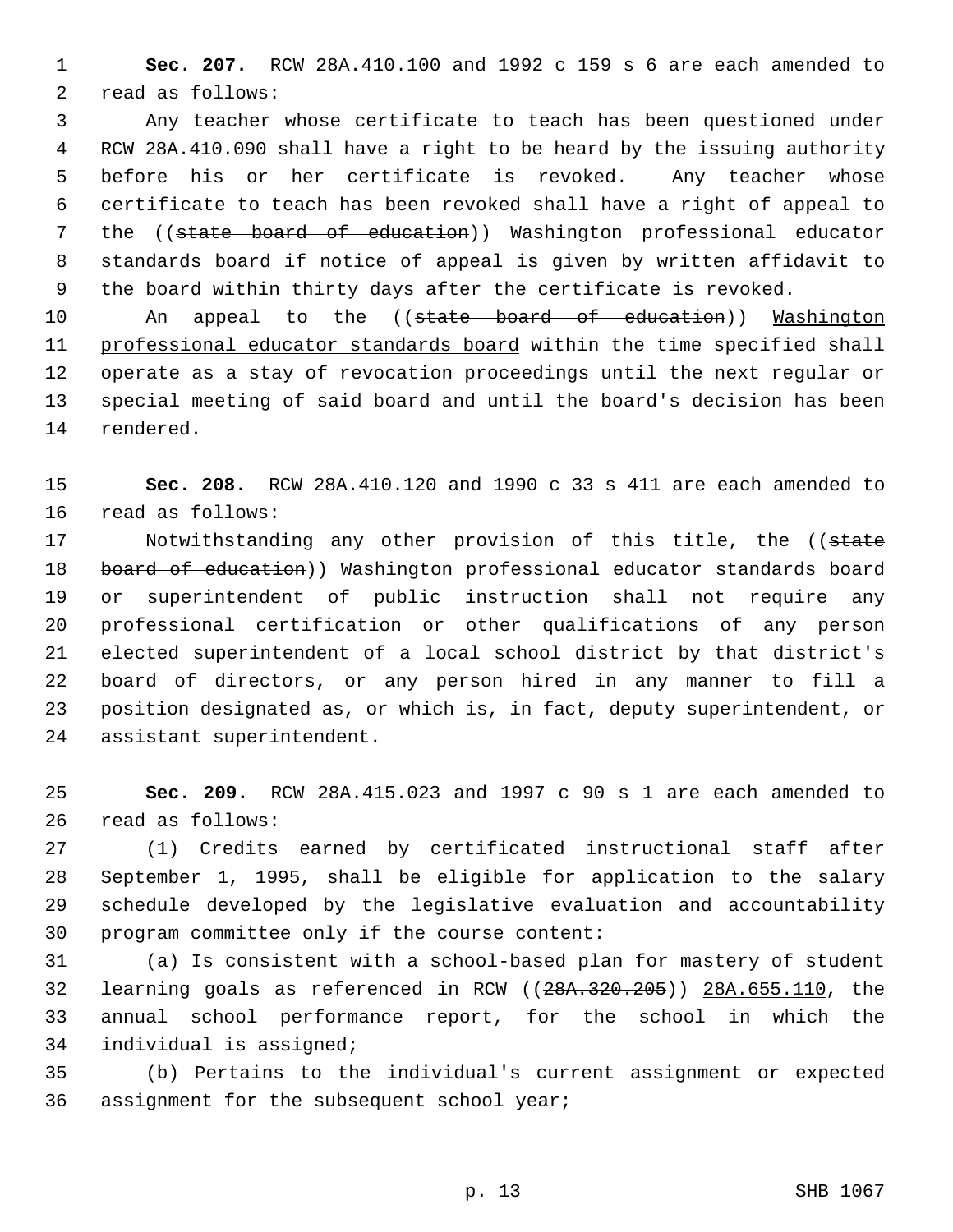**Sec. 207.** RCW 28A.410.100 and 1992 c 159 s 6 are each amended to read as follows:

 Any teacher whose certificate to teach has been questioned under RCW 28A.410.090 shall have a right to be heard by the issuing authority before his or her certificate is revoked. Any teacher whose certificate to teach has been revoked shall have a right of appeal to the ((state board of education)) Washington professional educator standards board if notice of appeal is given by written affidavit to the board within thirty days after the certificate is revoked.

10 An appeal to the ((state board of education)) Washington 11 professional educator standards board within the time specified shall operate as a stay of revocation proceedings until the next regular or special meeting of said board and until the board's decision has been rendered.

 **Sec. 208.** RCW 28A.410.120 and 1990 c 33 s 411 are each amended to read as follows:

17 Motwithstanding any other provision of this title, the ((state 18 board of education)) Washington professional educator standards board or superintendent of public instruction shall not require any professional certification or other qualifications of any person elected superintendent of a local school district by that district's board of directors, or any person hired in any manner to fill a position designated as, or which is, in fact, deputy superintendent, or assistant superintendent.

 **Sec. 209.** RCW 28A.415.023 and 1997 c 90 s 1 are each amended to read as follows:

 (1) Credits earned by certificated instructional staff after September 1, 1995, shall be eligible for application to the salary schedule developed by the legislative evaluation and accountability program committee only if the course content:

 (a) Is consistent with a school-based plan for mastery of student learning goals as referenced in RCW ((28A.320.205)) 28A.655.110, the annual school performance report, for the school in which the individual is assigned;

 (b) Pertains to the individual's current assignment or expected assignment for the subsequent school year;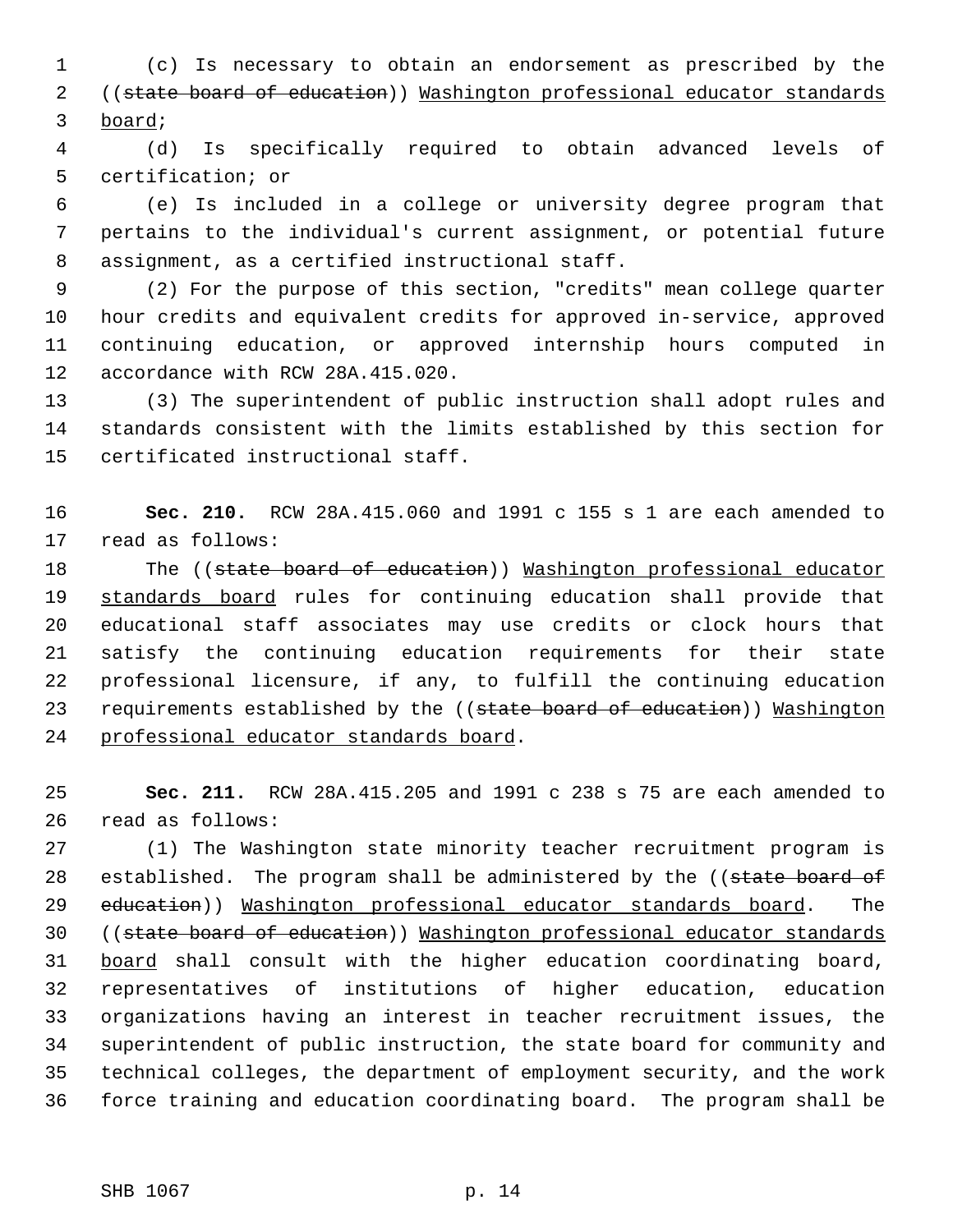(c) Is necessary to obtain an endorsement as prescribed by the ((state board of education)) Washington professional educator standards board;

 (d) Is specifically required to obtain advanced levels of certification; or

 (e) Is included in a college or university degree program that pertains to the individual's current assignment, or potential future assignment, as a certified instructional staff.

 (2) For the purpose of this section, "credits" mean college quarter hour credits and equivalent credits for approved in-service, approved continuing education, or approved internship hours computed in accordance with RCW 28A.415.020.

 (3) The superintendent of public instruction shall adopt rules and standards consistent with the limits established by this section for certificated instructional staff.

 **Sec. 210.** RCW 28A.415.060 and 1991 c 155 s 1 are each amended to read as follows:

18 The ((state board of education)) Washington professional educator 19 standards board rules for continuing education shall provide that educational staff associates may use credits or clock hours that satisfy the continuing education requirements for their state professional licensure, if any, to fulfill the continuing education 23 requirements established by the ((state board of education)) Washington professional educator standards board.

 **Sec. 211.** RCW 28A.415.205 and 1991 c 238 s 75 are each amended to read as follows:

 (1) The Washington state minority teacher recruitment program is 28 established. The program shall be administered by the ((state board of 29 education)) Washington professional educator standards board. The ((state board of education)) Washington professional educator standards 31 board shall consult with the higher education coordinating board, representatives of institutions of higher education, education organizations having an interest in teacher recruitment issues, the superintendent of public instruction, the state board for community and technical colleges, the department of employment security, and the work force training and education coordinating board. The program shall be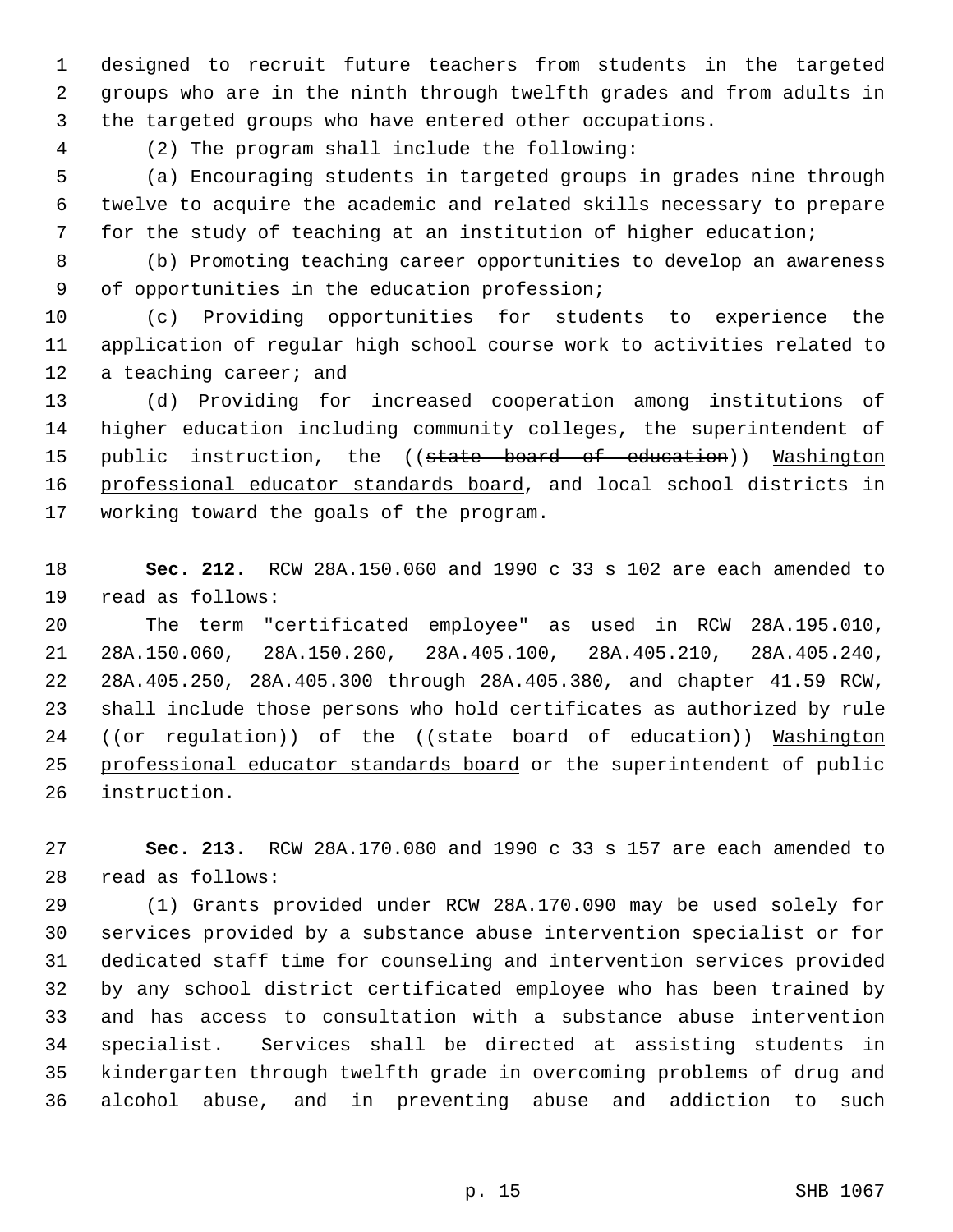designed to recruit future teachers from students in the targeted groups who are in the ninth through twelfth grades and from adults in the targeted groups who have entered other occupations.

(2) The program shall include the following:

 (a) Encouraging students in targeted groups in grades nine through twelve to acquire the academic and related skills necessary to prepare for the study of teaching at an institution of higher education;

 (b) Promoting teaching career opportunities to develop an awareness of opportunities in the education profession;

 (c) Providing opportunities for students to experience the application of regular high school course work to activities related to 12 a teaching career; and

 (d) Providing for increased cooperation among institutions of higher education including community colleges, the superintendent of 15 public instruction, the ((state board of education)) Washington 16 professional educator standards board, and local school districts in working toward the goals of the program.

 **Sec. 212.** RCW 28A.150.060 and 1990 c 33 s 102 are each amended to read as follows:

 The term "certificated employee" as used in RCW 28A.195.010, 28A.150.060, 28A.150.260, 28A.405.100, 28A.405.210, 28A.405.240, 28A.405.250, 28A.405.300 through 28A.405.380, and chapter 41.59 RCW, shall include those persons who hold certificates as authorized by rule 24 ((or regulation)) of the ((state board of education)) Washington 25 professional educator standards board or the superintendent of public instruction.

 **Sec. 213.** RCW 28A.170.080 and 1990 c 33 s 157 are each amended to read as follows:

 (1) Grants provided under RCW 28A.170.090 may be used solely for services provided by a substance abuse intervention specialist or for dedicated staff time for counseling and intervention services provided by any school district certificated employee who has been trained by and has access to consultation with a substance abuse intervention specialist. Services shall be directed at assisting students in kindergarten through twelfth grade in overcoming problems of drug and alcohol abuse, and in preventing abuse and addiction to such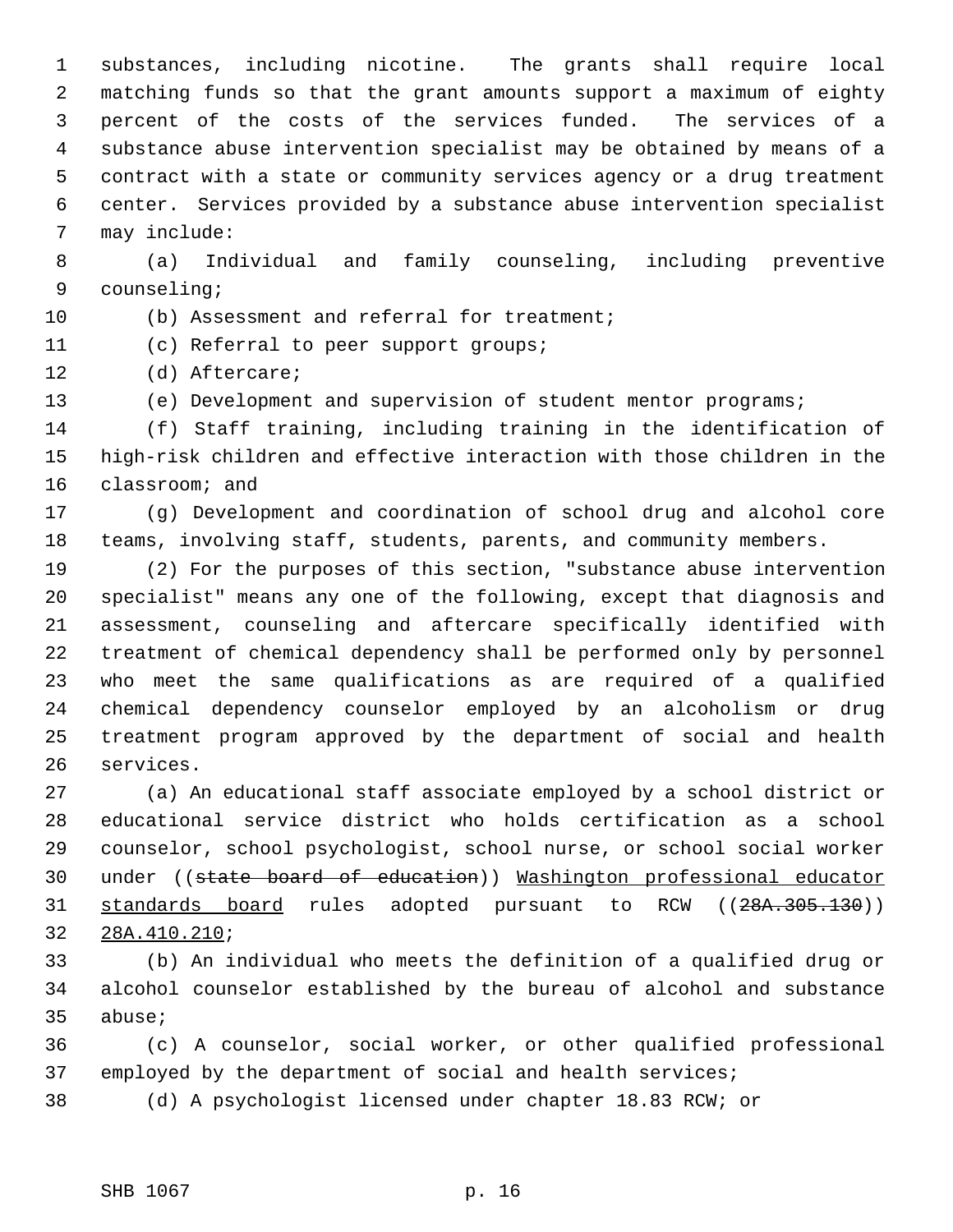substances, including nicotine. The grants shall require local matching funds so that the grant amounts support a maximum of eighty percent of the costs of the services funded. The services of a substance abuse intervention specialist may be obtained by means of a contract with a state or community services agency or a drug treatment center. Services provided by a substance abuse intervention specialist may include:

 (a) Individual and family counseling, including preventive counseling;

10 (b) Assessment and referral for treatment;

(c) Referral to peer support groups;

(d) Aftercare;

(e) Development and supervision of student mentor programs;

 (f) Staff training, including training in the identification of high-risk children and effective interaction with those children in the classroom; and

 (g) Development and coordination of school drug and alcohol core teams, involving staff, students, parents, and community members.

 (2) For the purposes of this section, "substance abuse intervention specialist" means any one of the following, except that diagnosis and assessment, counseling and aftercare specifically identified with treatment of chemical dependency shall be performed only by personnel who meet the same qualifications as are required of a qualified chemical dependency counselor employed by an alcoholism or drug treatment program approved by the department of social and health services.

 (a) An educational staff associate employed by a school district or educational service district who holds certification as a school counselor, school psychologist, school nurse, or school social worker under ((state board of education)) Washington professional educator 31 <u>standards board</u> rules adopted pursuant to RCW ((28A.305.130)) 28A.410.210;

 (b) An individual who meets the definition of a qualified drug or alcohol counselor established by the bureau of alcohol and substance abuse;

 (c) A counselor, social worker, or other qualified professional 37 employed by the department of social and health services;

(d) A psychologist licensed under chapter 18.83 RCW; or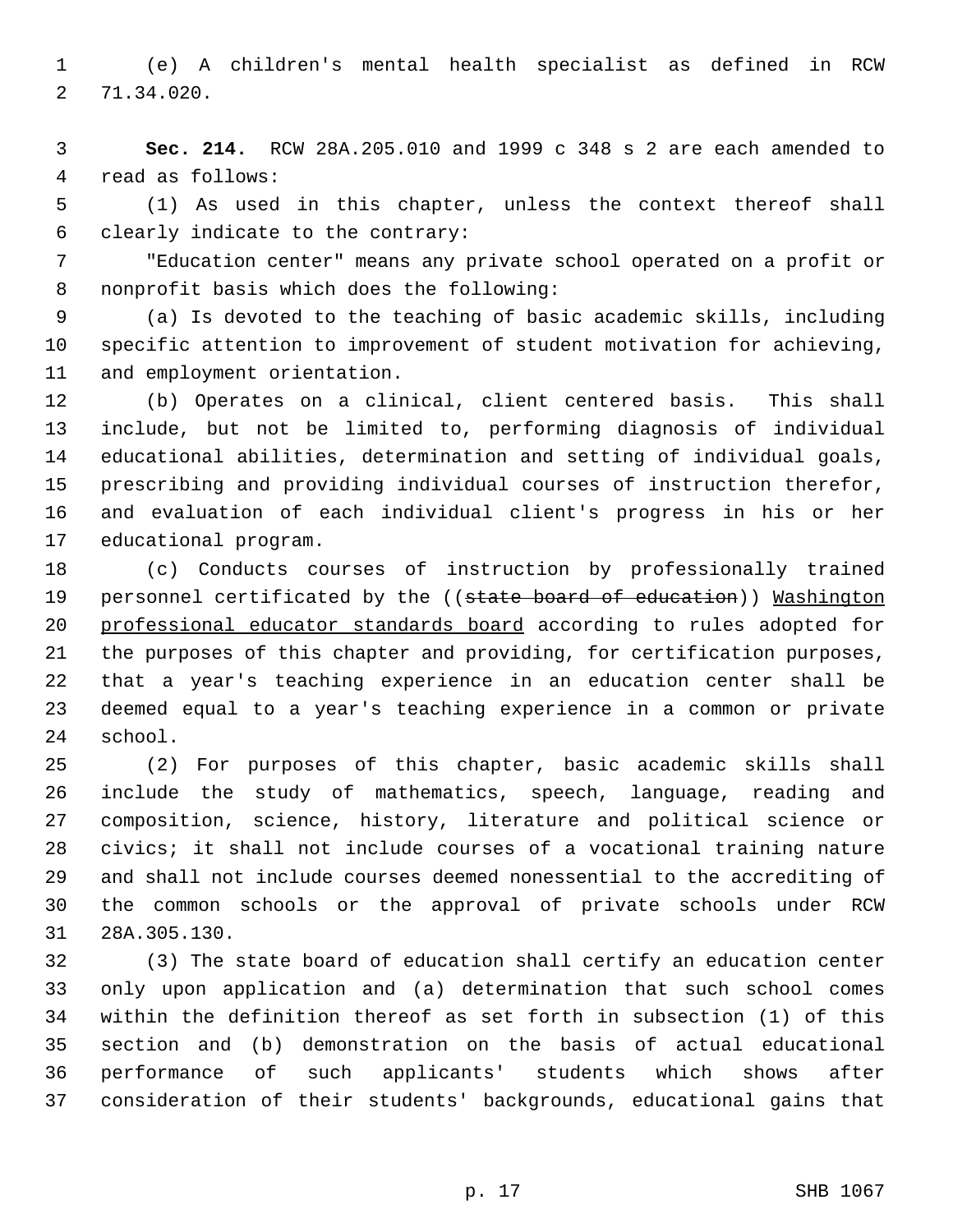(e) A children's mental health specialist as defined in RCW 71.34.020.

 **Sec. 214.** RCW 28A.205.010 and 1999 c 348 s 2 are each amended to read as follows:

 (1) As used in this chapter, unless the context thereof shall clearly indicate to the contrary:

 "Education center" means any private school operated on a profit or nonprofit basis which does the following:

 (a) Is devoted to the teaching of basic academic skills, including specific attention to improvement of student motivation for achieving, and employment orientation.

 (b) Operates on a clinical, client centered basis. This shall include, but not be limited to, performing diagnosis of individual educational abilities, determination and setting of individual goals, prescribing and providing individual courses of instruction therefor, and evaluation of each individual client's progress in his or her educational program.

 (c) Conducts courses of instruction by professionally trained 19 personnel certificated by the ((state board of education)) Mashington professional educator standards board according to rules adopted for the purposes of this chapter and providing, for certification purposes, that a year's teaching experience in an education center shall be deemed equal to a year's teaching experience in a common or private school.

 (2) For purposes of this chapter, basic academic skills shall include the study of mathematics, speech, language, reading and composition, science, history, literature and political science or civics; it shall not include courses of a vocational training nature and shall not include courses deemed nonessential to the accrediting of the common schools or the approval of private schools under RCW 28A.305.130.

 (3) The state board of education shall certify an education center only upon application and (a) determination that such school comes within the definition thereof as set forth in subsection (1) of this section and (b) demonstration on the basis of actual educational performance of such applicants' students which shows after consideration of their students' backgrounds, educational gains that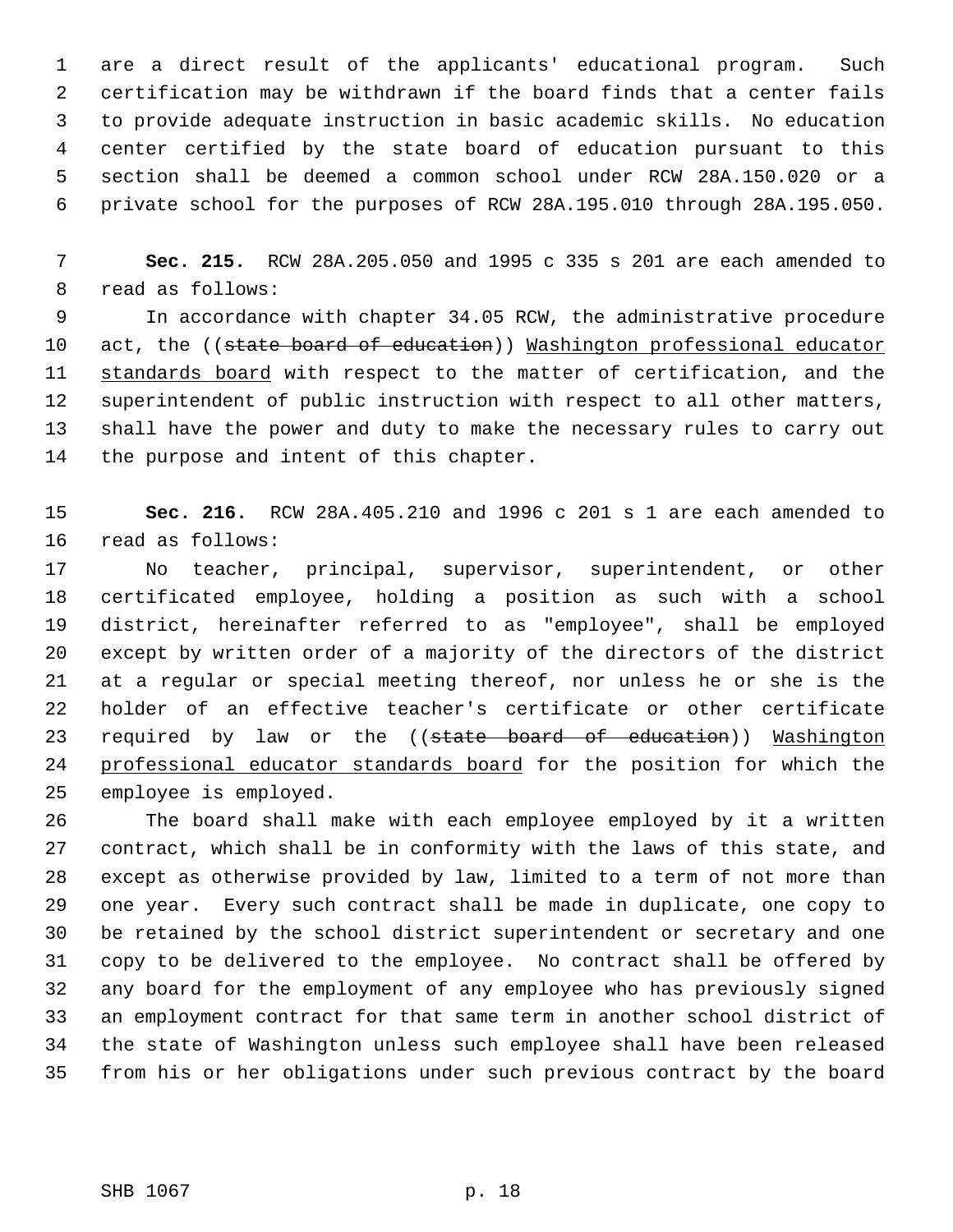are a direct result of the applicants' educational program. Such certification may be withdrawn if the board finds that a center fails to provide adequate instruction in basic academic skills. No education center certified by the state board of education pursuant to this section shall be deemed a common school under RCW 28A.150.020 or a private school for the purposes of RCW 28A.195.010 through 28A.195.050.

 **Sec. 215.** RCW 28A.205.050 and 1995 c 335 s 201 are each amended to read as follows:

 In accordance with chapter 34.05 RCW, the administrative procedure 10 act, the ((state board of education)) Washington professional educator 11 standards board with respect to the matter of certification, and the superintendent of public instruction with respect to all other matters, shall have the power and duty to make the necessary rules to carry out the purpose and intent of this chapter.

 **Sec. 216.** RCW 28A.405.210 and 1996 c 201 s 1 are each amended to read as follows:

 No teacher, principal, supervisor, superintendent, or other certificated employee, holding a position as such with a school district, hereinafter referred to as "employee", shall be employed except by written order of a majority of the directors of the district at a regular or special meeting thereof, nor unless he or she is the holder of an effective teacher's certificate or other certificate 23 required by law or the ((state board of education)) Washington professional educator standards board for the position for which the employee is employed.

 The board shall make with each employee employed by it a written contract, which shall be in conformity with the laws of this state, and except as otherwise provided by law, limited to a term of not more than one year. Every such contract shall be made in duplicate, one copy to be retained by the school district superintendent or secretary and one copy to be delivered to the employee. No contract shall be offered by any board for the employment of any employee who has previously signed an employment contract for that same term in another school district of the state of Washington unless such employee shall have been released from his or her obligations under such previous contract by the board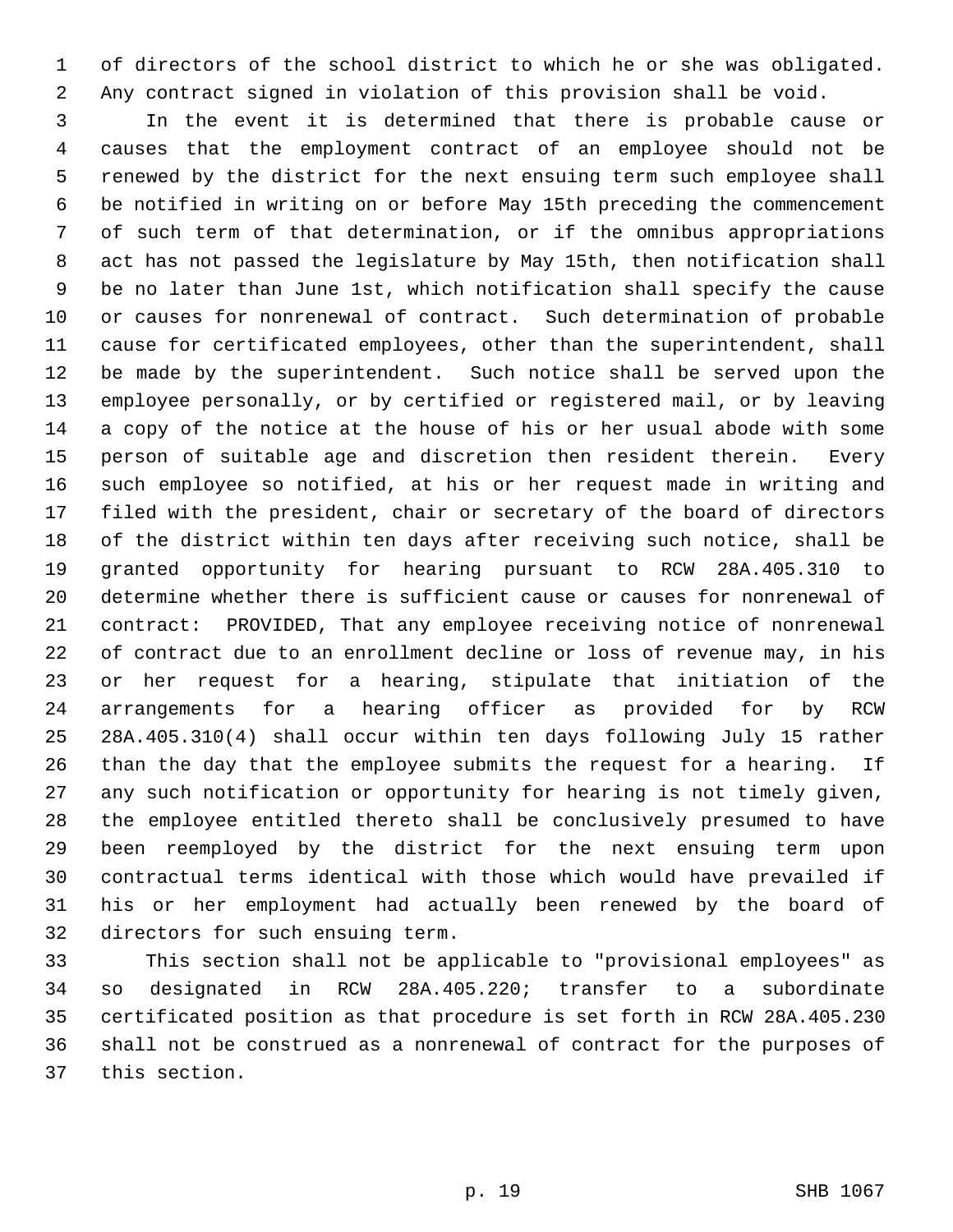of directors of the school district to which he or she was obligated. Any contract signed in violation of this provision shall be void.

 In the event it is determined that there is probable cause or causes that the employment contract of an employee should not be renewed by the district for the next ensuing term such employee shall be notified in writing on or before May 15th preceding the commencement of such term of that determination, or if the omnibus appropriations act has not passed the legislature by May 15th, then notification shall be no later than June 1st, which notification shall specify the cause or causes for nonrenewal of contract. Such determination of probable cause for certificated employees, other than the superintendent, shall be made by the superintendent. Such notice shall be served upon the employee personally, or by certified or registered mail, or by leaving a copy of the notice at the house of his or her usual abode with some person of suitable age and discretion then resident therein. Every such employee so notified, at his or her request made in writing and filed with the president, chair or secretary of the board of directors of the district within ten days after receiving such notice, shall be granted opportunity for hearing pursuant to RCW 28A.405.310 to determine whether there is sufficient cause or causes for nonrenewal of contract: PROVIDED, That any employee receiving notice of nonrenewal of contract due to an enrollment decline or loss of revenue may, in his or her request for a hearing, stipulate that initiation of the arrangements for a hearing officer as provided for by RCW 28A.405.310(4) shall occur within ten days following July 15 rather than the day that the employee submits the request for a hearing. If any such notification or opportunity for hearing is not timely given, the employee entitled thereto shall be conclusively presumed to have been reemployed by the district for the next ensuing term upon contractual terms identical with those which would have prevailed if his or her employment had actually been renewed by the board of directors for such ensuing term.

 This section shall not be applicable to "provisional employees" as so designated in RCW 28A.405.220; transfer to a subordinate certificated position as that procedure is set forth in RCW 28A.405.230 shall not be construed as a nonrenewal of contract for the purposes of this section.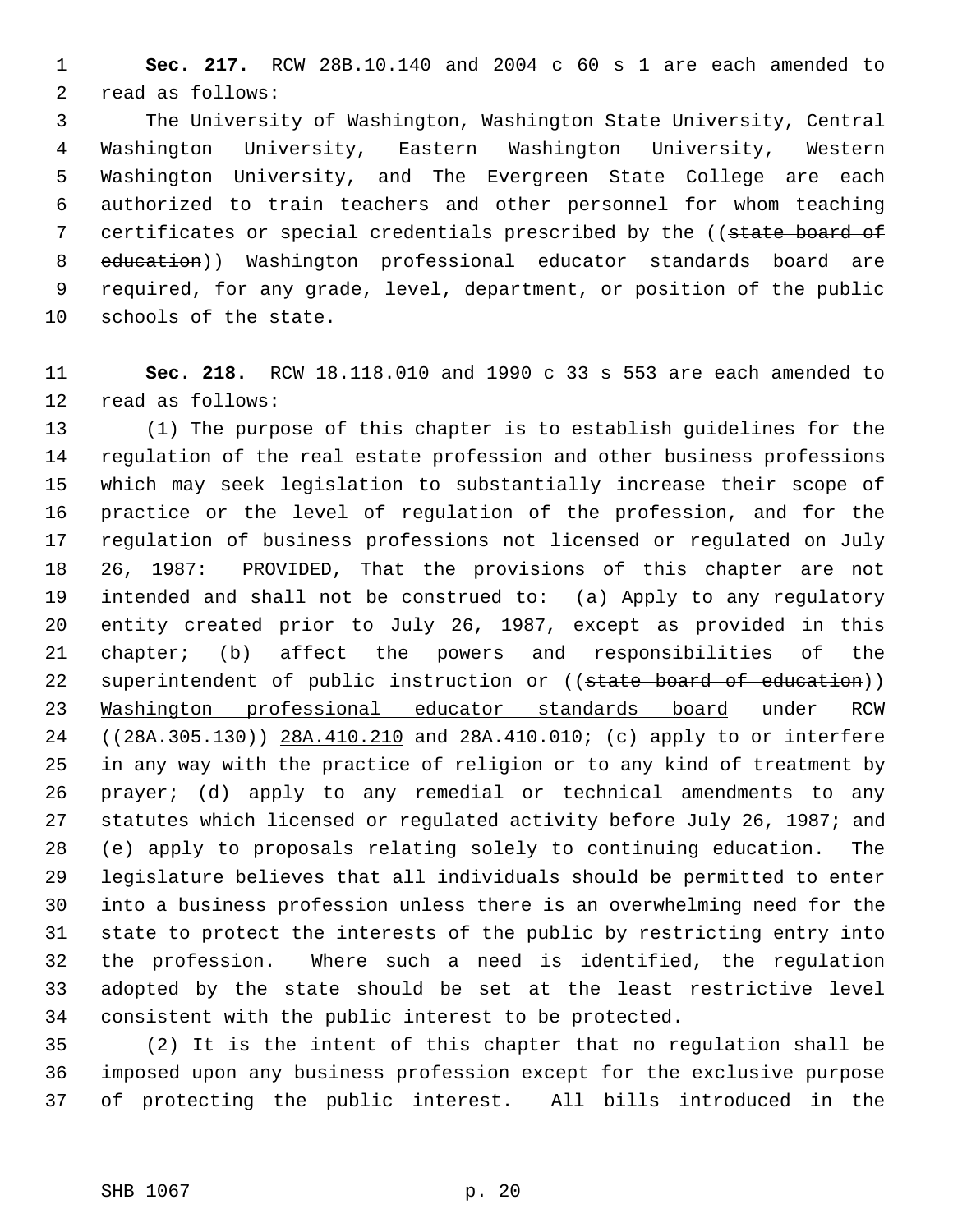**Sec. 217.** RCW 28B.10.140 and 2004 c 60 s 1 are each amended to read as follows:

 The University of Washington, Washington State University, Central Washington University, Eastern Washington University, Western Washington University, and The Evergreen State College are each authorized to train teachers and other personnel for whom teaching 7 certificates or special credentials prescribed by the ((state board of education)) Washington professional educator standards board are required, for any grade, level, department, or position of the public schools of the state.

 **Sec. 218.** RCW 18.118.010 and 1990 c 33 s 553 are each amended to read as follows:

 (1) The purpose of this chapter is to establish guidelines for the regulation of the real estate profession and other business professions which may seek legislation to substantially increase their scope of practice or the level of regulation of the profession, and for the regulation of business professions not licensed or regulated on July 26, 1987: PROVIDED, That the provisions of this chapter are not intended and shall not be construed to: (a) Apply to any regulatory entity created prior to July 26, 1987, except as provided in this chapter; (b) affect the powers and responsibilities of the 22 superintendent of public instruction or ((state board of education)) Washington professional educator standards board under RCW 24 ((28A.305.130)) 28A.410.210 and 28A.410.010; (c) apply to or interfere in any way with the practice of religion or to any kind of treatment by prayer; (d) apply to any remedial or technical amendments to any statutes which licensed or regulated activity before July 26, 1987; and (e) apply to proposals relating solely to continuing education. The legislature believes that all individuals should be permitted to enter into a business profession unless there is an overwhelming need for the state to protect the interests of the public by restricting entry into the profession. Where such a need is identified, the regulation adopted by the state should be set at the least restrictive level consistent with the public interest to be protected.

 (2) It is the intent of this chapter that no regulation shall be imposed upon any business profession except for the exclusive purpose of protecting the public interest. All bills introduced in the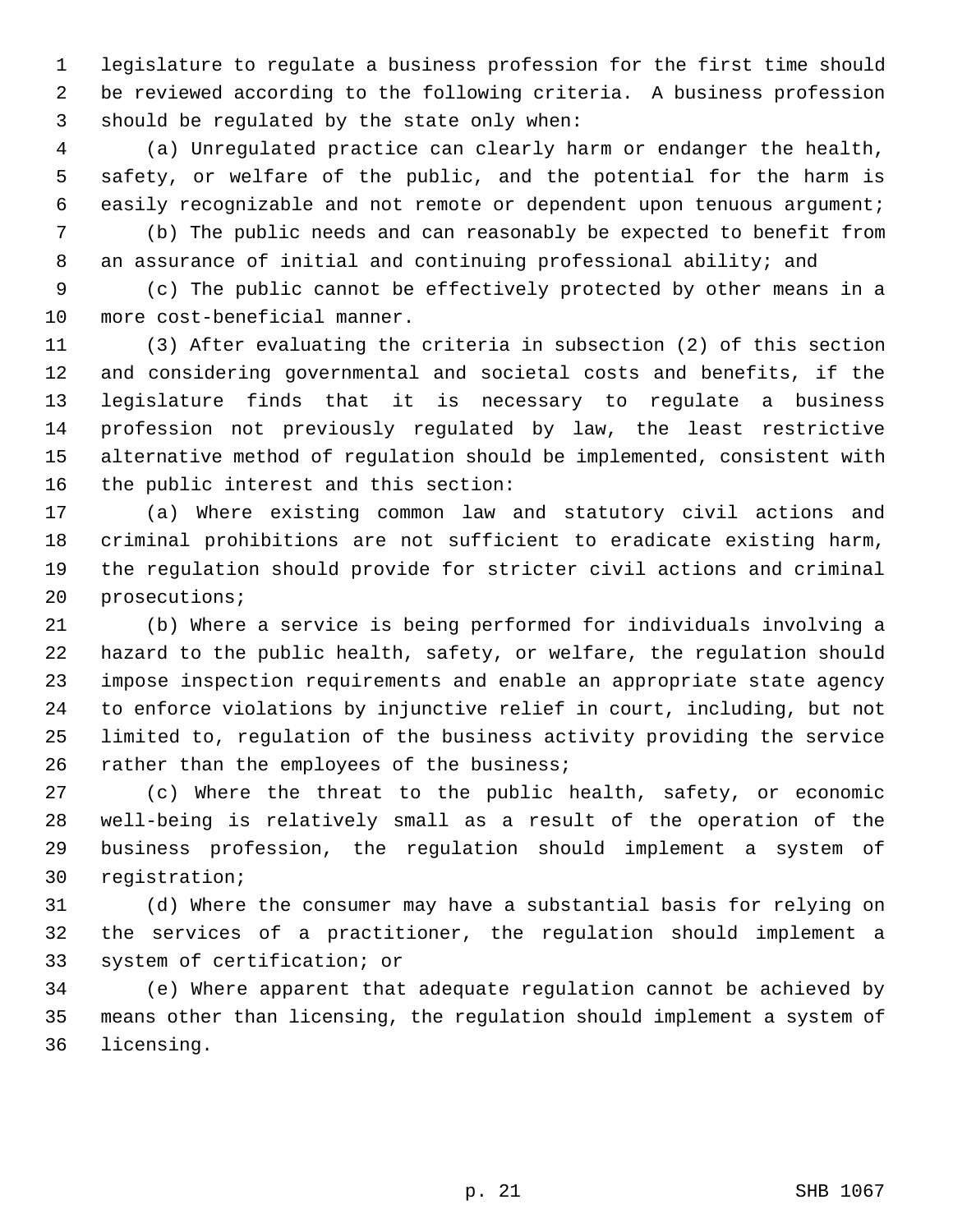legislature to regulate a business profession for the first time should be reviewed according to the following criteria. A business profession should be regulated by the state only when:

 (a) Unregulated practice can clearly harm or endanger the health, safety, or welfare of the public, and the potential for the harm is easily recognizable and not remote or dependent upon tenuous argument;

 (b) The public needs and can reasonably be expected to benefit from an assurance of initial and continuing professional ability; and

 (c) The public cannot be effectively protected by other means in a more cost-beneficial manner.

 (3) After evaluating the criteria in subsection (2) of this section and considering governmental and societal costs and benefits, if the legislature finds that it is necessary to regulate a business profession not previously regulated by law, the least restrictive alternative method of regulation should be implemented, consistent with the public interest and this section:

 (a) Where existing common law and statutory civil actions and criminal prohibitions are not sufficient to eradicate existing harm, the regulation should provide for stricter civil actions and criminal prosecutions;

 (b) Where a service is being performed for individuals involving a hazard to the public health, safety, or welfare, the regulation should impose inspection requirements and enable an appropriate state agency to enforce violations by injunctive relief in court, including, but not limited to, regulation of the business activity providing the service 26 rather than the employees of the business;

 (c) Where the threat to the public health, safety, or economic well-being is relatively small as a result of the operation of the business profession, the regulation should implement a system of registration;

 (d) Where the consumer may have a substantial basis for relying on the services of a practitioner, the regulation should implement a system of certification; or

 (e) Where apparent that adequate regulation cannot be achieved by means other than licensing, the regulation should implement a system of licensing.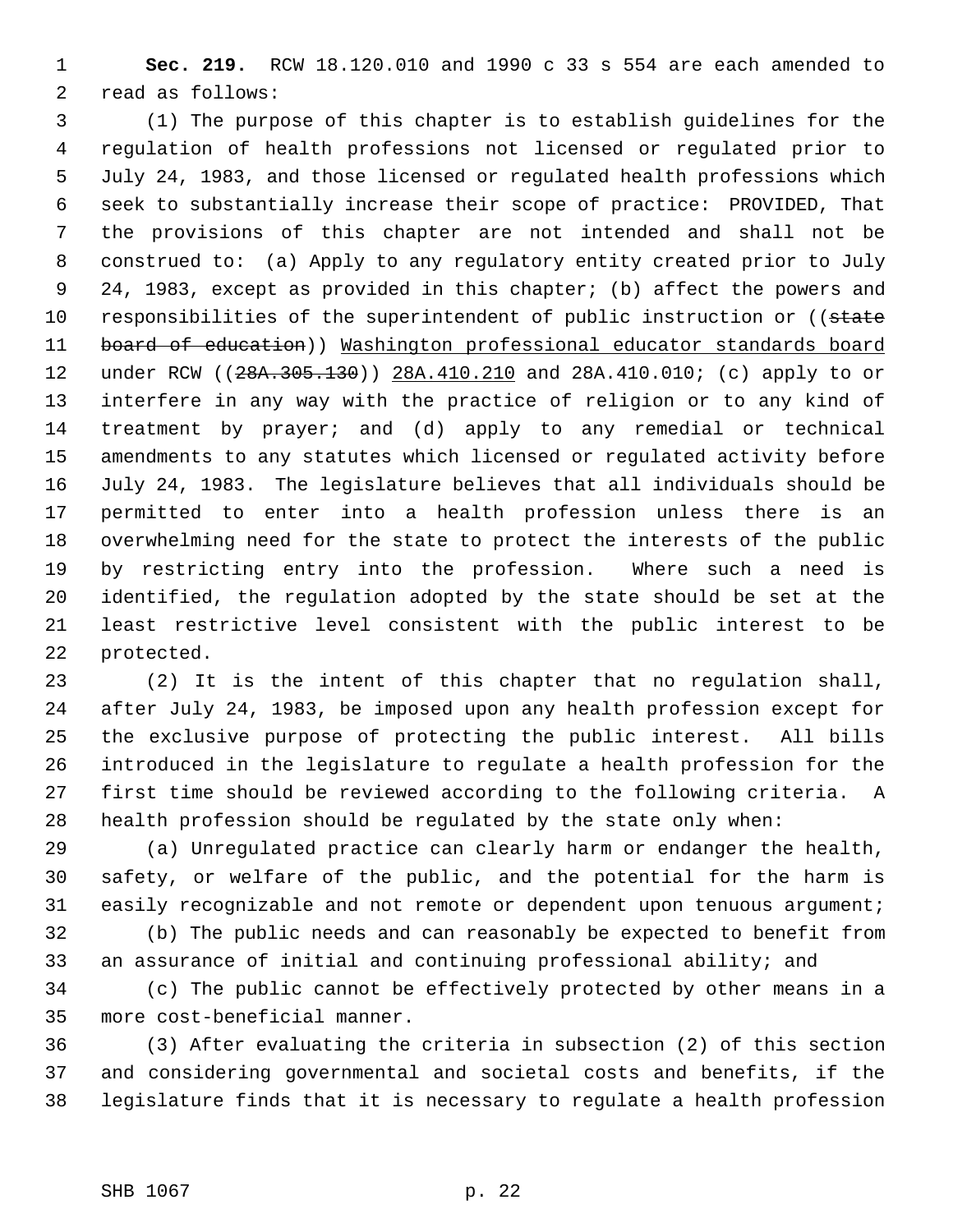**Sec. 219.** RCW 18.120.010 and 1990 c 33 s 554 are each amended to read as follows:

 (1) The purpose of this chapter is to establish guidelines for the regulation of health professions not licensed or regulated prior to July 24, 1983, and those licensed or regulated health professions which seek to substantially increase their scope of practice: PROVIDED, That the provisions of this chapter are not intended and shall not be construed to: (a) Apply to any regulatory entity created prior to July 24, 1983, except as provided in this chapter; (b) affect the powers and 10 responsibilities of the superintendent of public instruction or ((state 11 board of education)) Washington professional educator standards board 12 under RCW ((28A.305.130)) 28A.410.210 and 28A.410.010; (c) apply to or interfere in any way with the practice of religion or to any kind of treatment by prayer; and (d) apply to any remedial or technical amendments to any statutes which licensed or regulated activity before July 24, 1983. The legislature believes that all individuals should be permitted to enter into a health profession unless there is an overwhelming need for the state to protect the interests of the public by restricting entry into the profession. Where such a need is identified, the regulation adopted by the state should be set at the least restrictive level consistent with the public interest to be protected.

 (2) It is the intent of this chapter that no regulation shall, after July 24, 1983, be imposed upon any health profession except for the exclusive purpose of protecting the public interest. All bills introduced in the legislature to regulate a health profession for the first time should be reviewed according to the following criteria. A health profession should be regulated by the state only when:

 (a) Unregulated practice can clearly harm or endanger the health, safety, or welfare of the public, and the potential for the harm is easily recognizable and not remote or dependent upon tenuous argument;

 (b) The public needs and can reasonably be expected to benefit from an assurance of initial and continuing professional ability; and

 (c) The public cannot be effectively protected by other means in a more cost-beneficial manner.

 (3) After evaluating the criteria in subsection (2) of this section and considering governmental and societal costs and benefits, if the legislature finds that it is necessary to regulate a health profession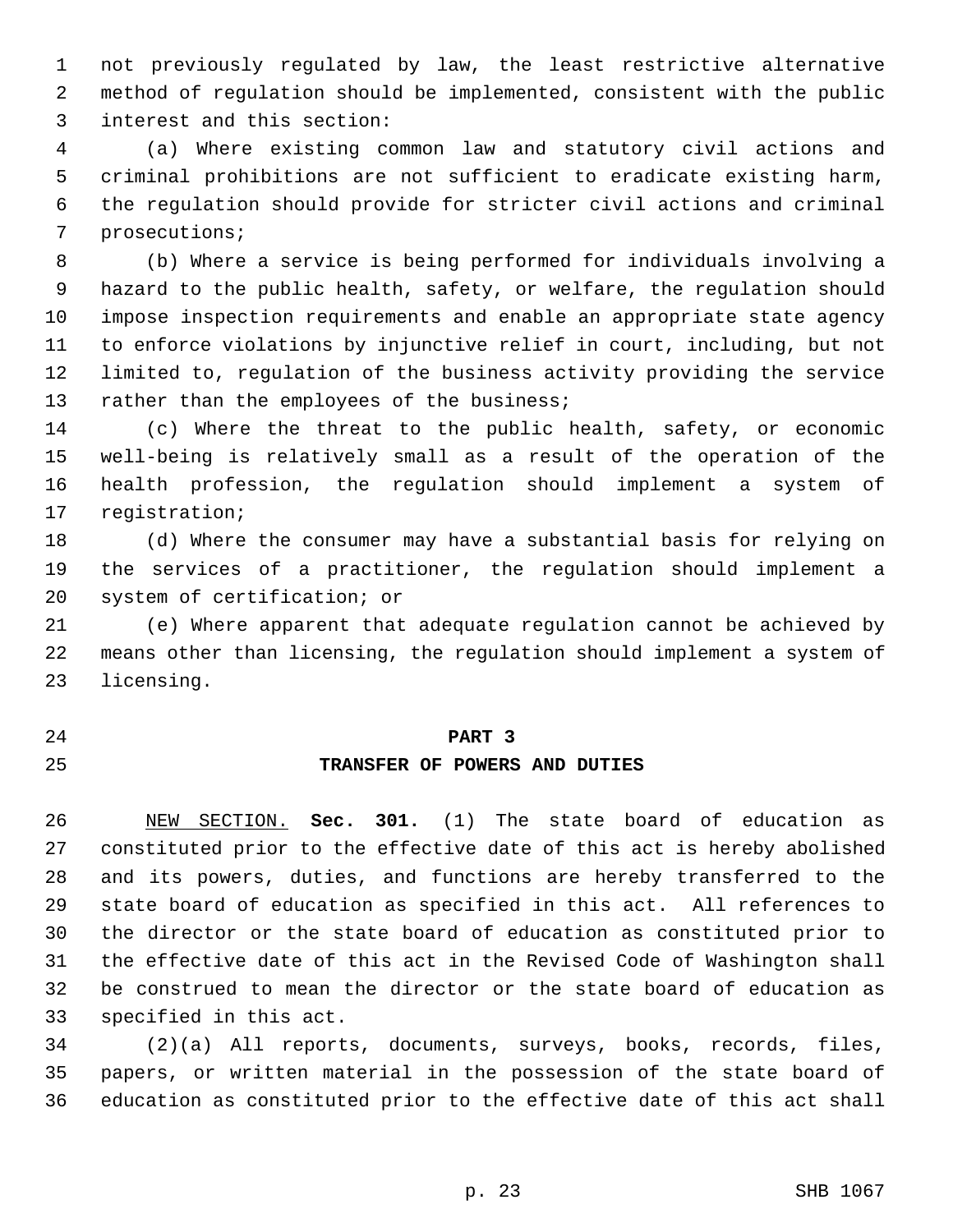not previously regulated by law, the least restrictive alternative method of regulation should be implemented, consistent with the public interest and this section:

 (a) Where existing common law and statutory civil actions and criminal prohibitions are not sufficient to eradicate existing harm, the regulation should provide for stricter civil actions and criminal prosecutions;

 (b) Where a service is being performed for individuals involving a hazard to the public health, safety, or welfare, the regulation should impose inspection requirements and enable an appropriate state agency to enforce violations by injunctive relief in court, including, but not limited to, regulation of the business activity providing the service 13 rather than the employees of the business;

 (c) Where the threat to the public health, safety, or economic well-being is relatively small as a result of the operation of the health profession, the regulation should implement a system of registration;

 (d) Where the consumer may have a substantial basis for relying on the services of a practitioner, the regulation should implement a system of certification; or

 (e) Where apparent that adequate regulation cannot be achieved by means other than licensing, the regulation should implement a system of licensing.

# **PART 3 TRANSFER OF POWERS AND DUTIES**

 NEW SECTION. **Sec. 301.** (1) The state board of education as constituted prior to the effective date of this act is hereby abolished and its powers, duties, and functions are hereby transferred to the state board of education as specified in this act. All references to the director or the state board of education as constituted prior to the effective date of this act in the Revised Code of Washington shall be construed to mean the director or the state board of education as specified in this act.

 (2)(a) All reports, documents, surveys, books, records, files, papers, or written material in the possession of the state board of education as constituted prior to the effective date of this act shall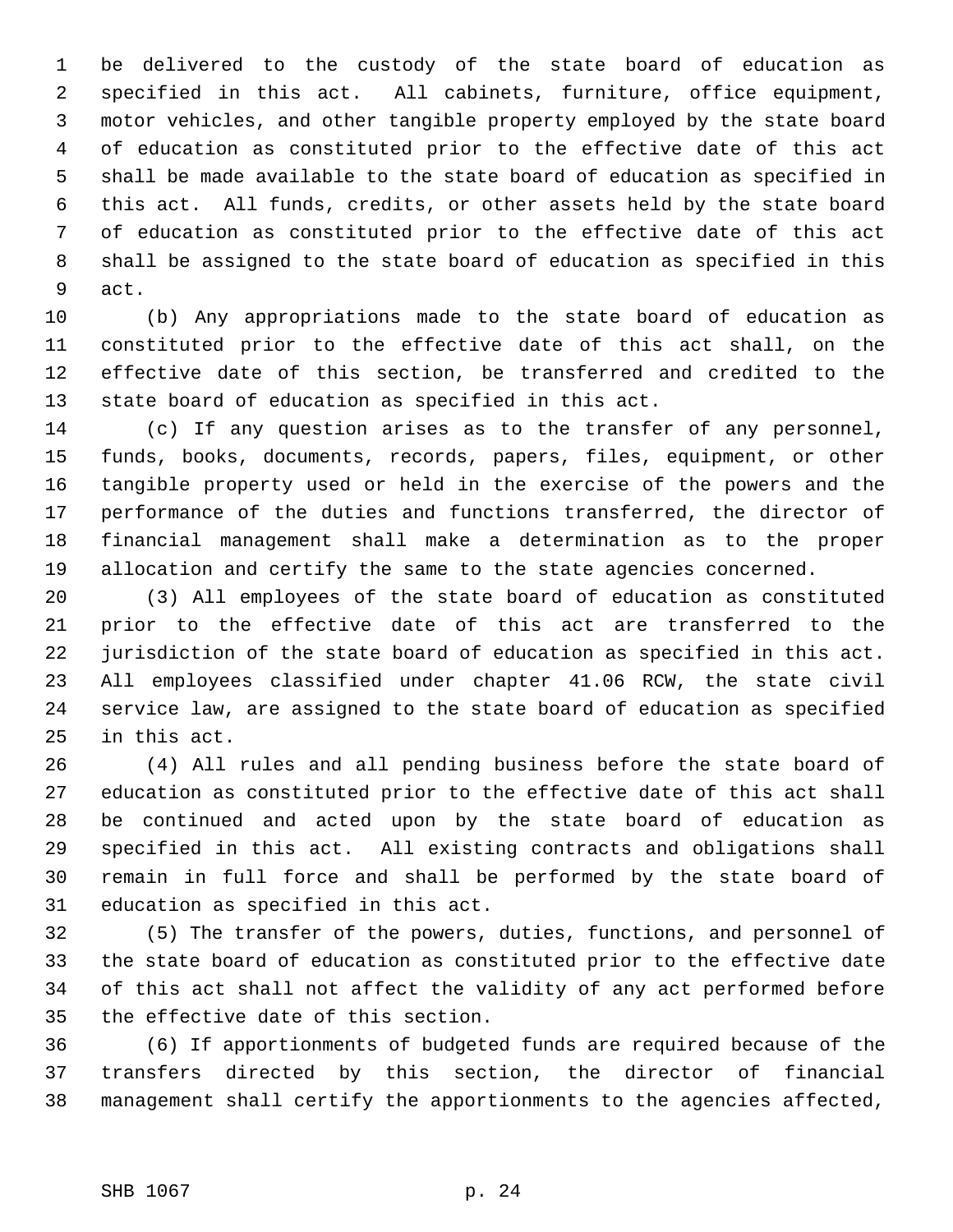be delivered to the custody of the state board of education as specified in this act. All cabinets, furniture, office equipment, motor vehicles, and other tangible property employed by the state board of education as constituted prior to the effective date of this act shall be made available to the state board of education as specified in this act. All funds, credits, or other assets held by the state board of education as constituted prior to the effective date of this act shall be assigned to the state board of education as specified in this act.

 (b) Any appropriations made to the state board of education as constituted prior to the effective date of this act shall, on the effective date of this section, be transferred and credited to the state board of education as specified in this act.

 (c) If any question arises as to the transfer of any personnel, funds, books, documents, records, papers, files, equipment, or other tangible property used or held in the exercise of the powers and the performance of the duties and functions transferred, the director of financial management shall make a determination as to the proper allocation and certify the same to the state agencies concerned.

 (3) All employees of the state board of education as constituted prior to the effective date of this act are transferred to the jurisdiction of the state board of education as specified in this act. All employees classified under chapter 41.06 RCW, the state civil service law, are assigned to the state board of education as specified in this act.

 (4) All rules and all pending business before the state board of education as constituted prior to the effective date of this act shall be continued and acted upon by the state board of education as specified in this act. All existing contracts and obligations shall remain in full force and shall be performed by the state board of education as specified in this act.

 (5) The transfer of the powers, duties, functions, and personnel of the state board of education as constituted prior to the effective date of this act shall not affect the validity of any act performed before the effective date of this section.

 (6) If apportionments of budgeted funds are required because of the transfers directed by this section, the director of financial management shall certify the apportionments to the agencies affected,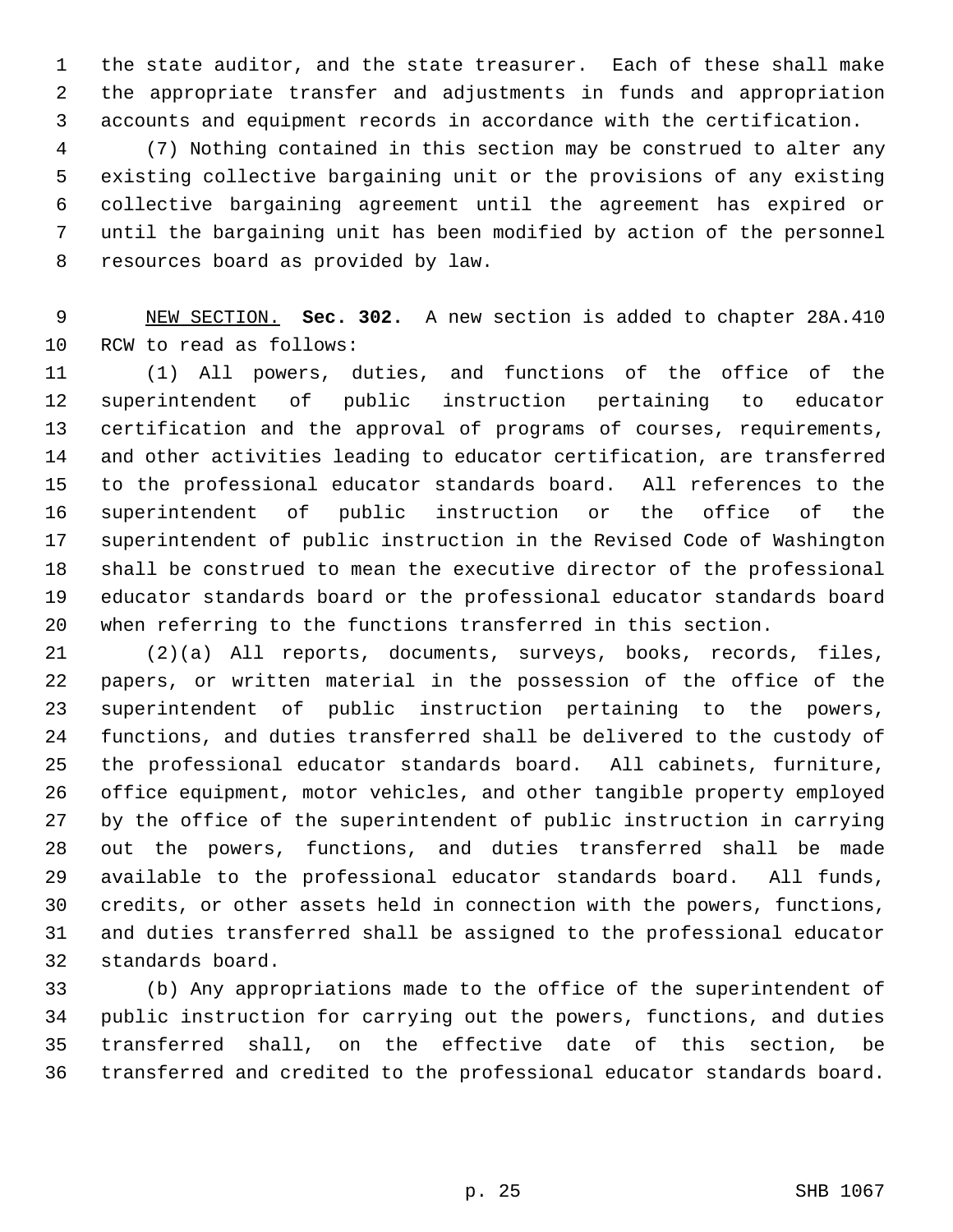the state auditor, and the state treasurer. Each of these shall make the appropriate transfer and adjustments in funds and appropriation accounts and equipment records in accordance with the certification.

 (7) Nothing contained in this section may be construed to alter any existing collective bargaining unit or the provisions of any existing collective bargaining agreement until the agreement has expired or until the bargaining unit has been modified by action of the personnel resources board as provided by law.

 NEW SECTION. **Sec. 302.** A new section is added to chapter 28A.410 RCW to read as follows:

 (1) All powers, duties, and functions of the office of the superintendent of public instruction pertaining to educator certification and the approval of programs of courses, requirements, and other activities leading to educator certification, are transferred to the professional educator standards board. All references to the superintendent of public instruction or the office of the superintendent of public instruction in the Revised Code of Washington shall be construed to mean the executive director of the professional educator standards board or the professional educator standards board when referring to the functions transferred in this section.

 (2)(a) All reports, documents, surveys, books, records, files, papers, or written material in the possession of the office of the superintendent of public instruction pertaining to the powers, functions, and duties transferred shall be delivered to the custody of the professional educator standards board. All cabinets, furniture, office equipment, motor vehicles, and other tangible property employed by the office of the superintendent of public instruction in carrying out the powers, functions, and duties transferred shall be made available to the professional educator standards board. All funds, credits, or other assets held in connection with the powers, functions, and duties transferred shall be assigned to the professional educator standards board.

 (b) Any appropriations made to the office of the superintendent of public instruction for carrying out the powers, functions, and duties transferred shall, on the effective date of this section, be transferred and credited to the professional educator standards board.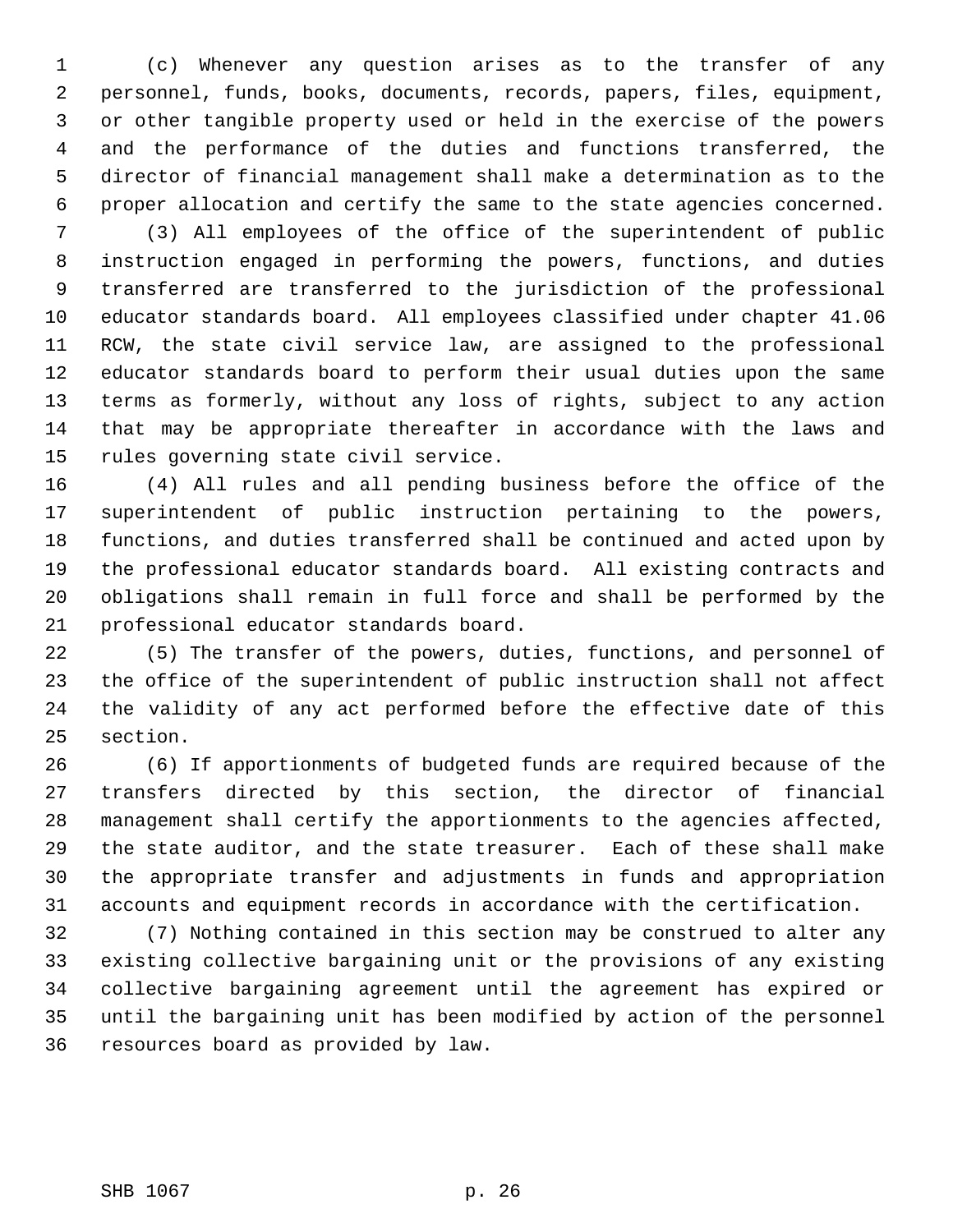(c) Whenever any question arises as to the transfer of any personnel, funds, books, documents, records, papers, files, equipment, or other tangible property used or held in the exercise of the powers and the performance of the duties and functions transferred, the director of financial management shall make a determination as to the proper allocation and certify the same to the state agencies concerned.

 (3) All employees of the office of the superintendent of public instruction engaged in performing the powers, functions, and duties transferred are transferred to the jurisdiction of the professional educator standards board. All employees classified under chapter 41.06 RCW, the state civil service law, are assigned to the professional educator standards board to perform their usual duties upon the same terms as formerly, without any loss of rights, subject to any action that may be appropriate thereafter in accordance with the laws and rules governing state civil service.

 (4) All rules and all pending business before the office of the superintendent of public instruction pertaining to the powers, functions, and duties transferred shall be continued and acted upon by the professional educator standards board. All existing contracts and obligations shall remain in full force and shall be performed by the professional educator standards board.

 (5) The transfer of the powers, duties, functions, and personnel of the office of the superintendent of public instruction shall not affect the validity of any act performed before the effective date of this section.

 (6) If apportionments of budgeted funds are required because of the transfers directed by this section, the director of financial management shall certify the apportionments to the agencies affected, the state auditor, and the state treasurer. Each of these shall make the appropriate transfer and adjustments in funds and appropriation accounts and equipment records in accordance with the certification.

 (7) Nothing contained in this section may be construed to alter any existing collective bargaining unit or the provisions of any existing collective bargaining agreement until the agreement has expired or until the bargaining unit has been modified by action of the personnel resources board as provided by law.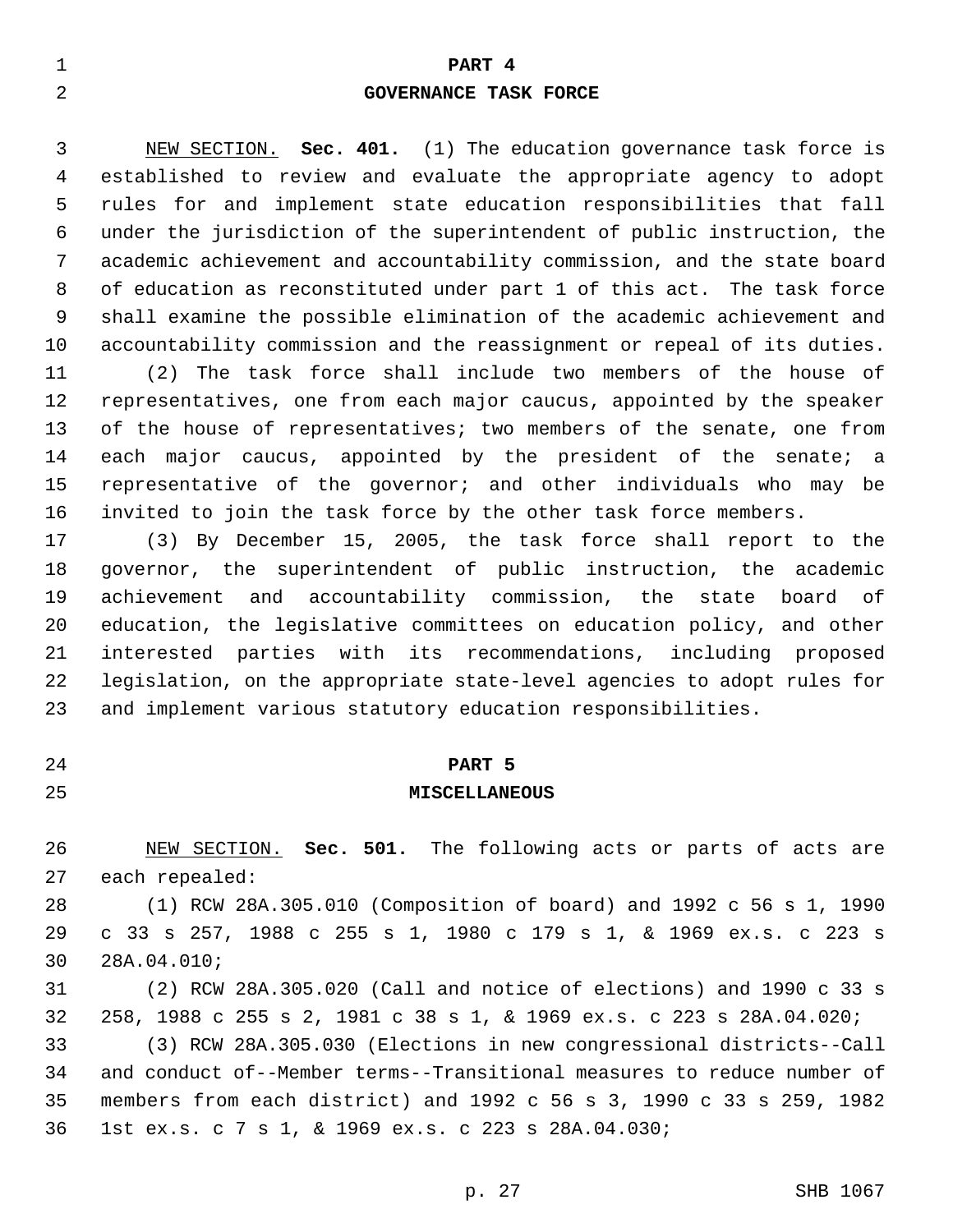# **PART 4 GOVERNANCE TASK FORCE**

 NEW SECTION. **Sec. 401.** (1) The education governance task force is established to review and evaluate the appropriate agency to adopt rules for and implement state education responsibilities that fall under the jurisdiction of the superintendent of public instruction, the academic achievement and accountability commission, and the state board of education as reconstituted under part 1 of this act. The task force shall examine the possible elimination of the academic achievement and accountability commission and the reassignment or repeal of its duties.

 (2) The task force shall include two members of the house of representatives, one from each major caucus, appointed by the speaker of the house of representatives; two members of the senate, one from each major caucus, appointed by the president of the senate; a representative of the governor; and other individuals who may be invited to join the task force by the other task force members.

 (3) By December 15, 2005, the task force shall report to the governor, the superintendent of public instruction, the academic achievement and accountability commission, the state board of education, the legislative committees on education policy, and other interested parties with its recommendations, including proposed legislation, on the appropriate state-level agencies to adopt rules for and implement various statutory education responsibilities.

- 
- 

#### **PART 5**

#### **MISCELLANEOUS**

 NEW SECTION. **Sec. 501.** The following acts or parts of acts are each repealed:

 (1) RCW 28A.305.010 (Composition of board) and 1992 c 56 s 1, 1990 c 33 s 257, 1988 c 255 s 1, 1980 c 179 s 1, & 1969 ex.s. c 223 s 28A.04.010;

 (2) RCW 28A.305.020 (Call and notice of elections) and 1990 c 33 s 258, 1988 c 255 s 2, 1981 c 38 s 1, & 1969 ex.s. c 223 s 28A.04.020; (3) RCW 28A.305.030 (Elections in new congressional districts--Call

 and conduct of--Member terms--Transitional measures to reduce number of members from each district) and 1992 c 56 s 3, 1990 c 33 s 259, 1982 1st ex.s. c 7 s 1, & 1969 ex.s. c 223 s 28A.04.030;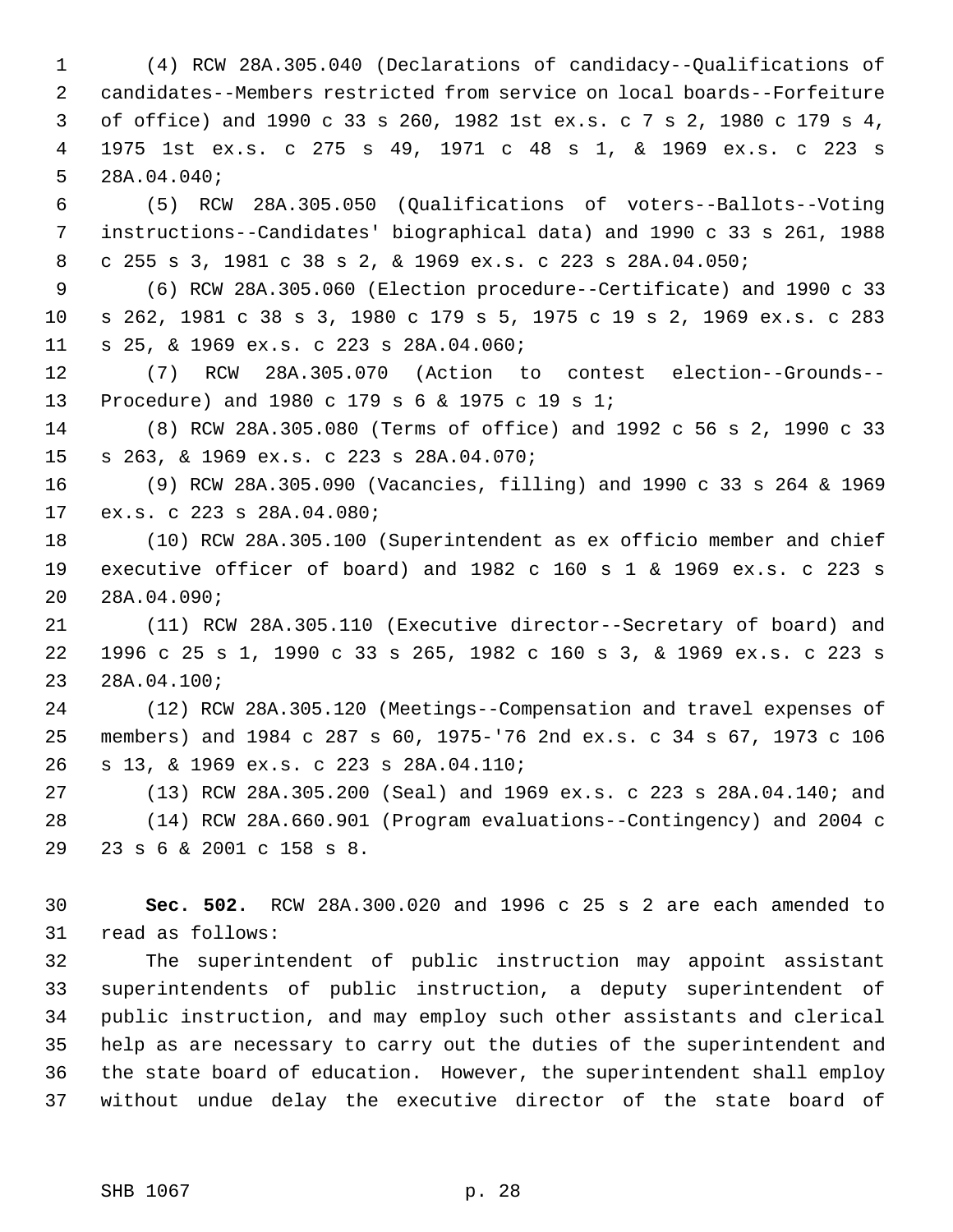(4) RCW 28A.305.040 (Declarations of candidacy--Qualifications of candidates--Members restricted from service on local boards--Forfeiture of office) and 1990 c 33 s 260, 1982 1st ex.s. c 7 s 2, 1980 c 179 s 4, 1975 1st ex.s. c 275 s 49, 1971 c 48 s 1, & 1969 ex.s. c 223 s 28A.04.040;

 (5) RCW 28A.305.050 (Qualifications of voters--Ballots--Voting instructions--Candidates' biographical data) and 1990 c 33 s 261, 1988 c 255 s 3, 1981 c 38 s 2, & 1969 ex.s. c 223 s 28A.04.050;

 (6) RCW 28A.305.060 (Election procedure--Certificate) and 1990 c 33 s 262, 1981 c 38 s 3, 1980 c 179 s 5, 1975 c 19 s 2, 1969 ex.s. c 283 s 25, & 1969 ex.s. c 223 s 28A.04.060;

 (7) RCW 28A.305.070 (Action to contest election--Grounds-- Procedure) and 1980 c 179 s 6 & 1975 c 19 s 1;

 (8) RCW 28A.305.080 (Terms of office) and 1992 c 56 s 2, 1990 c 33 s 263, & 1969 ex.s. c 223 s 28A.04.070;

 (9) RCW 28A.305.090 (Vacancies, filling) and 1990 c 33 s 264 & 1969 ex.s. c 223 s 28A.04.080;

 (10) RCW 28A.305.100 (Superintendent as ex officio member and chief executive officer of board) and 1982 c 160 s 1 & 1969 ex.s. c 223 s 28A.04.090;

 (11) RCW 28A.305.110 (Executive director--Secretary of board) and 1996 c 25 s 1, 1990 c 33 s 265, 1982 c 160 s 3, & 1969 ex.s. c 223 s 28A.04.100;

 (12) RCW 28A.305.120 (Meetings--Compensation and travel expenses of members) and 1984 c 287 s 60, 1975-'76 2nd ex.s. c 34 s 67, 1973 c 106 s 13, & 1969 ex.s. c 223 s 28A.04.110;

 (13) RCW 28A.305.200 (Seal) and 1969 ex.s. c 223 s 28A.04.140; and (14) RCW 28A.660.901 (Program evaluations--Contingency) and 2004 c 23 s 6 & 2001 c 158 s 8.

 **Sec. 502.** RCW 28A.300.020 and 1996 c 25 s 2 are each amended to read as follows:

 The superintendent of public instruction may appoint assistant superintendents of public instruction, a deputy superintendent of public instruction, and may employ such other assistants and clerical help as are necessary to carry out the duties of the superintendent and the state board of education. However, the superintendent shall employ without undue delay the executive director of the state board of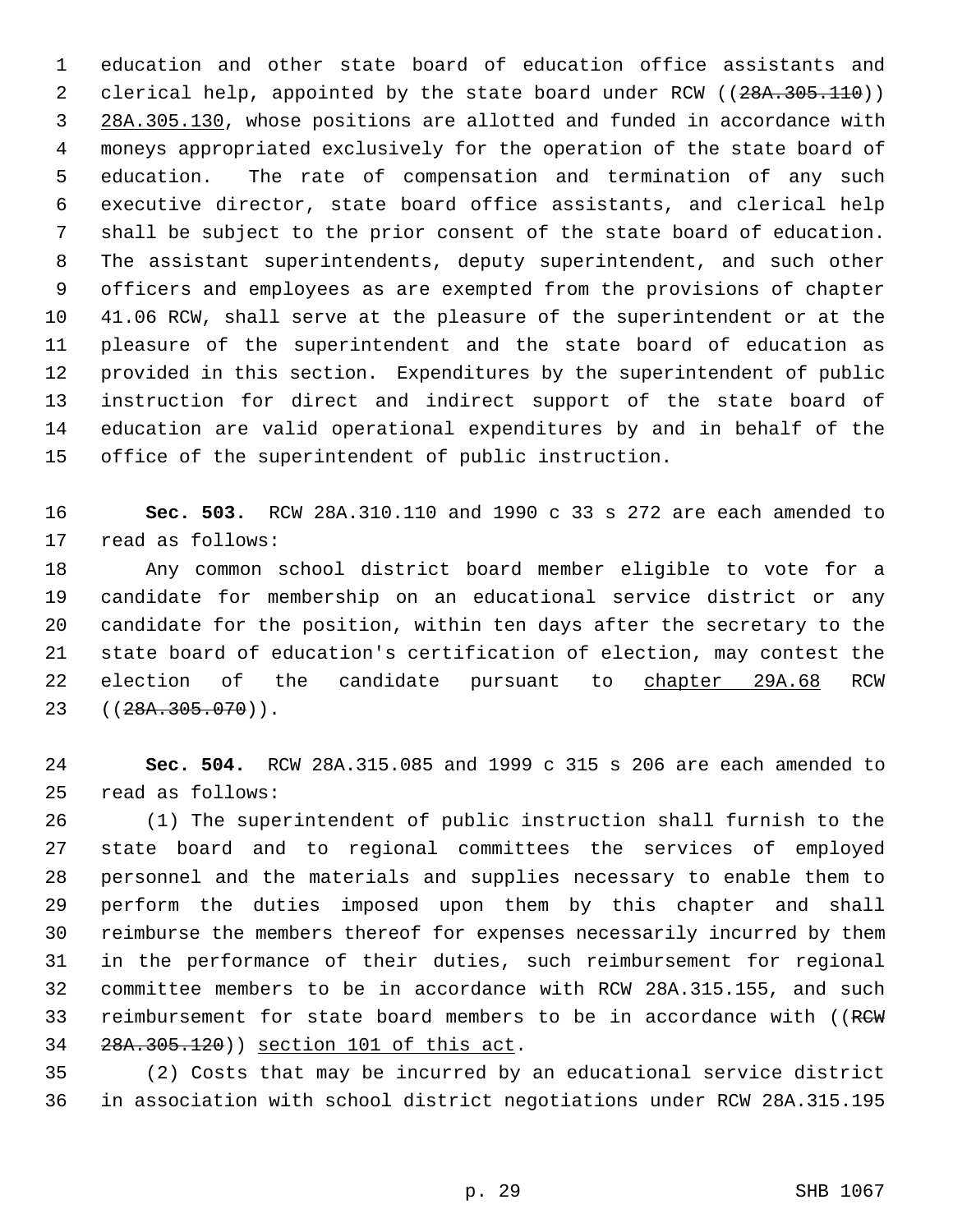education and other state board of education office assistants and 2 clerical help, appointed by the state board under RCW ((28A.305.110)) 28A.305.130, whose positions are allotted and funded in accordance with moneys appropriated exclusively for the operation of the state board of education. The rate of compensation and termination of any such executive director, state board office assistants, and clerical help shall be subject to the prior consent of the state board of education. The assistant superintendents, deputy superintendent, and such other officers and employees as are exempted from the provisions of chapter 41.06 RCW, shall serve at the pleasure of the superintendent or at the pleasure of the superintendent and the state board of education as provided in this section. Expenditures by the superintendent of public instruction for direct and indirect support of the state board of education are valid operational expenditures by and in behalf of the office of the superintendent of public instruction.

 **Sec. 503.** RCW 28A.310.110 and 1990 c 33 s 272 are each amended to read as follows:

 Any common school district board member eligible to vote for a candidate for membership on an educational service district or any candidate for the position, within ten days after the secretary to the state board of education's certification of election, may contest the 22 election of the candidate pursuant to chapter 29A.68 RCW 23 ((<del>28A.305.070</del>)).

 **Sec. 504.** RCW 28A.315.085 and 1999 c 315 s 206 are each amended to read as follows:

 (1) The superintendent of public instruction shall furnish to the state board and to regional committees the services of employed personnel and the materials and supplies necessary to enable them to perform the duties imposed upon them by this chapter and shall reimburse the members thereof for expenses necessarily incurred by them in the performance of their duties, such reimbursement for regional committee members to be in accordance with RCW 28A.315.155, and such 33 reimbursement for state board members to be in accordance with ((RCW 28A.305.120)) section 101 of this act.

 (2) Costs that may be incurred by an educational service district in association with school district negotiations under RCW 28A.315.195